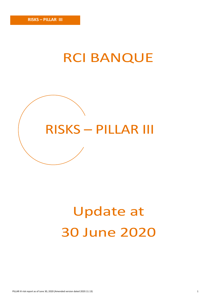## RCI BANQUE



# Update at 30 June 2020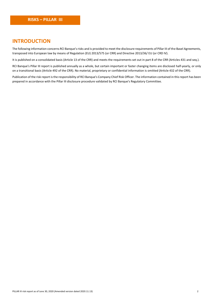## **INTRODUCTION**

The following information concerns RCI Banque's risks and is provided to meet the disclosure requirements of Pillar III of the Basel Agreements, transposed into European law by means of Regulation (EU) 2013/575 (or CRR) and Directive 2013/36/ EU (or CRD IV).

It is published on a consolidated basis (Article 13 of the CRR) and meets the requirements set out in part 8 of the CRR (Articles 431 and seq.).

RCI Banque's Pillar III report is published annually as a whole, but certain important or faster changing items are disclosed half-yearly, or only on a transitional basis (Article 492 of the CRR). No material, proprietary or confidential information is omitted (Article 432 of the CRR).

Publication of the risk report is the responsibility of RCI Banque's Company Chief Risk Officer. The information contained in this report has been prepared in accordance with the Pillar III disclosure procedure validated by RCI Banque's Regulatory Committee.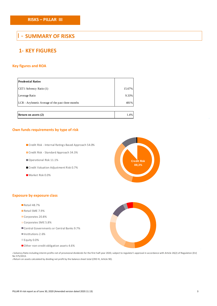## I - **SUMMARY OF RISKS**

## **1- KEY FIGURES**

## **Key figures and ROA**

| <b>Prudential Ratios</b>                         |        |
|--------------------------------------------------|--------|
| CET1 Solvency Ratio (1)                          | 15.67% |
| Leverage Ratio                                   | 9.33%  |
| LCR - Aryhmetic Average of the past three months | 481%   |
|                                                  |        |
| <b>Return on assets (2)</b>                      | 1.4%   |

## **Own funds requirements by type of risk**

- Credit Risk Internal Ratings Based Approach 54.0%
- Credit Risk Standard Approach 34.3%
- Operational Risk 11.1%
- Credit Valuation Adjustment Risk 0.7%
- Market Risk 0.0%



## **Exposure by exposure class**

- Retail 48.7%
- Retail SME 7.9%
- Corporates 20.8%
- Corporates SME 5.8%
- Central Governments or Central Banks 9.7%
- Institutions 2.6%
- Equity 0.0%
- Other non-credit obligation assets 4.6%

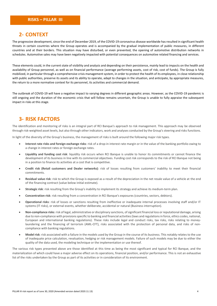## **2- CONTEXT**

The progressive development, since the end of December 2019, of the COVID-19 coronavirus disease worldwide has resulted in significant health threats in certain countries where the Group operates and is accompanied by the gradual implementation of public measures, in different countries and at their borders. This situation may have disturbed, or even prevented, the opening of automotive distribution networks in schedules. Automotive sales may have been negatively impacted with potential consequences on automotive related financing and services.

These elements could, in the current state of visibility and analysis and depending on their persistence, mainly lead to impacts on the health and availability of Group personnel, as well as on financial performance (average performing assets, cost of risk, cost of funds). The Group is fully mobilized, in particular through a comprehensive crisis management system, in order to protect the health of its employees, in close relationship with public authorities, preserve its assets and its ability to operate, adapt to changes in the situation, and anticipate, by appropriate measures, the return to a more normative context for its personnel, its activities and commercial demand.

The outbreak of COVID-19 will have a negative impact to varying degrees in different geographic areas. However, as the COVID-19 pandemic is still ongoing and the duration of the economic crisis that will follow remains uncertain, the Group is unable to fully appraise the subsequent impact in risks at this stage.

## **3- RISK FACTORS**

The identification and monitoring of risks is an integral part of RCI Banque's approach to risk management. This approach may be observed through risk-weighted asset levels, but also through other indicators, work and analyses conducted by the Group's steering and risks functions.

In light of the diversity of the Group's business, the management of risks is built around the following major risk types.

- **Interest rate risks and foreign exchange risks**: risk of a drop-in interest rate margin or in the value of the banking portfolio owing to a change in interest rates or foreign exchange rates.
- **Liquidity and funding cost risk**: liquidity risk occurs when RCI Banque is unable to honor its commitments or cannot finance the development of its business in line with its commercial objectives. Funding cost risk corresponds to the risk of RCI Banque not being in a position to finance its activities at a cost that is competitive.
- **Credit risk (Retail customers and Dealer networks)**: risk of losses resulting from customers' inability to meet their financial commitments.
- **Residual value risk**: risk to which the Group is exposed as a result of the depreciation in the net resale value of a vehicle at the end of the financing contract (value below initial estimate).
- **Strategic risk**: risk resulting from the Group's inability to implement its strategy and achieve its medium-term plan.
- **Concentration risk**: risk resulting from a concentration in RCI Banque's exposures (countries, sectors, debtors).
- **Operational risks**: risk of losses or sanctions resulting from ineffective or inadequate internal processes involving staff and/or IT systems (IT risks), or external events, whether deliberate, accidental or natural (Business interruption).
- **Non-compliance risks**: risk of legal, administrative or disciplinary sanctions, of significant financial loss or reputational damage, arising due to non-compliance with provisions specific to banking and financial activities (laws and regulations in force, ethics codes, national, European and international banking regulations). These risks include legal and conduct risks, tax risks, risks relating to moneylaundering and the financing of terrorism (AML-CFT), risks associated with the protection of personal data, and risks of noncompliance with banking regulations.
- **Model risk**: risk associated with a failure in the models used by the Group in the course of its business. This notably relates to the use of inadequate price calculation, revaluation, hedging or risk management models. Failure of such models may be due to either the quality of the data used, the modeling technique or the implementation or use thereof.

The various risk types presented above are those identified at this time as being the most significant and typical for RCI Banque, and the materialization of which could have a major adverse effect on its operations, financial position, and/or performance. This is not an exhaustive list of the risks undertaken by the Group as part of its activities or in consideration of its environment.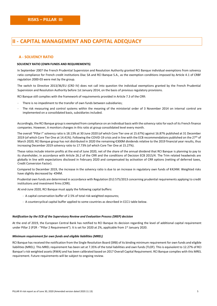## **II - CAPITAL MANAGEMENT AND CAPITAL ADEQUACY**

#### **A - SOLVENCY RATIO**

#### **SOLVENCY RATIO (OWN FUNDS AND REQUIREMENTS)**

In September 2007 the French Prudential Supervision and Resolution Authority granted RCI Banque individual exemptions from solvency ratio compliance for French credit institutions Diac SA and RCI Banque S.A., as the exemption conditions imposed by Article 4.1 of CRBF regulation 2000-03 were met by the group.

The switch to Directive 2013/36/EU (CRD IV) does not call into question the individual exemptions granted by the French Prudential Supervision and Resolution Authority before 1st January 2014, on the basis of previous regulatory provisions.

RCI Banque still complies with the framework of requirements provided in Article 7.3 of the CRR:

- There is no impediment to the transfer of own funds between subsidiaries:
- The risk measuring and control systems within the meaning of the ministerial order of 3 November 2014 on internal control are implemented on a consolidated basis, subsidiaries included.

Accordingly, the RCI Banque group is exempted from compliance on an individual basis with the solvency ratio for each of its French finance companies. However, it monitors changes in this ratio at group consolidated level every month.

The overall "Pillar I" solvency ratio is 18.13% at 30 June 2020 (of which Core Tier one at 15.67%) against 16.87% published at 31 December 2019 (of which Core Tier One at 14.41%). Following the COVID-19 crisis and in line with the ECB recommendations published on the 27<sup>th</sup> of March 2020, RCI Banque group has not distributed in 2020 the remaining €300M dividends relative to the 2019 financial year results, thus increasing December 2019 solvency ratio to 17.73% (of which Core Tier One at 15.27%).

These ratios include interim profits at the end of June 2020, net of the share of the annual dividend that RCI Banque is planning to pay to its shareholder, in accordance with Article 26.2 of the CRR and the conditions of Decision ECB 2015/4. The Trim related headwinds are globally in line with expectations disclosed in February 2020 and compensated by activation of CRR options (netting of deferred taxes, Credit Conversion Factor).

Compared to December 2019, the increase in the solvency ratio is due to an increase in regulatory own funds of €424M. Weighted risks have slightly decreased by -€94M.

Prudential own funds are determined in accordance with Regulation (EU) 575/2013 concerning prudential requirements applying to credit institutions and investment firms (CRR).

At end-June 2020, RCI Banque must apply the following capital buffers:

- A capital conservation buffer of 2.5% of total risk-weighted exposures;
- A countercyclical capital buffer applied to some countries as described in CCC1 table below.

#### *Notification by the ECB of the Supervisory Review and Evaluation Process (SREP) decision*

At the end of 2019, the European Central Bank has notified to RCI Banque its decision regarding the level of additional capital requirement under Pillar 2 (P2R - "Pillar 2 Requirement"). It is set for 2020 at 2%, applicable from 1st January 2020.

#### *Minimum requirement for own funds and eligible liabilities (MREL)*

RCI Banque has received the notification from the Single Resolution Board (SRB) of its binding minimum requirement for own funds and eligible liabilities (MREL). This MREL requirement has been set at 7.35% of the total liabilities and own funds (TLOF). This is equivalent to 12.27% of RCI Banque's risk weighted assets (RWA) and has been calibrated based on 2017 Overall Capital Requirement. RCI Banque complies with this MREL requirement. Future requirements will be subject to ongoing review.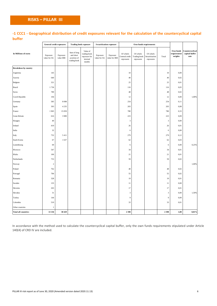## **-1 CCC1 - Geographical distribution of credit exposures relevant for the calculation of the countercyclical capital buffer**

|                             | <b>General credit exposures</b> |                       | <b>Trading book exposure</b>                            |                                                                      |                          | <b>Securitisation exposure</b> |                                          |                                        | Own funds requirements                   |                      |                                                                  |                                                      |
|-----------------------------|---------------------------------|-----------------------|---------------------------------------------------------|----------------------------------------------------------------------|--------------------------|--------------------------------|------------------------------------------|----------------------------------------|------------------------------------------|----------------------|------------------------------------------------------------------|------------------------------------------------------|
| In Millions of euros        | Exposure<br>value for SA        | Exposure<br>value IRB | Sum of long<br>and short<br>position of<br>trading book | Value of<br>trading book<br>exposure for<br>internal<br>$\rm models$ | Exposure<br>value for SA | Exposure<br>value for IRB      | Of which:<br>General credit<br>exposures | Of which:<br>Trading book<br>exposures | Of which:<br>Securitisation<br>exposures | Total                | $\mathbf{O}\mathop{\mathbf{wn}}$ funds<br>requirement<br>weights | Countercyclical<br>capital buffer<br>$\mathbf{rate}$ |
| <b>Breakdown by country</b> |                                 |                       |                                                         |                                                                      |                          |                                |                                          |                                        |                                          |                      |                                                                  |                                                      |
| Argentina                   | 145                             |                       |                                                         |                                                                      |                          |                                | $10\,$                                   |                                        |                                          | $10\,$               | 0,00                                                             |                                                      |
| Austria                     | 640                             |                       |                                                         |                                                                      |                          |                                | 40                                       |                                        |                                          | 40                   | 0,02                                                             |                                                      |
| Belgium                     | 321                             |                       |                                                         |                                                                      |                          |                                | $25\,$                                   |                                        |                                          | 25                   | 0,01                                                             |                                                      |
| Brazil                      | 1736                            |                       |                                                         |                                                                      |                          |                                | 116                                      |                                        |                                          | 116                  | 0,05                                                             |                                                      |
| Swiss                       | 789                             |                       |                                                         |                                                                      |                          |                                | 48                                       |                                        |                                          | 48                   | 0,02                                                             |                                                      |
| Czech Republic              | 194                             |                       |                                                         |                                                                      |                          |                                | 12                                       |                                        |                                          | 12                   | 0,00                                                             | 1,00%                                                |
| Germany                     | 585                             | 8098                  |                                                         |                                                                      |                          |                                | 254                                      |                                        |                                          | 254                  | 0,11                                                             |                                                      |
| Spain                       | 393                             | 4 2 3 5               |                                                         |                                                                      |                          |                                | 203                                      |                                        |                                          | 203                  | 0,08                                                             |                                                      |
| France                      | 1965                            | 15 059                |                                                         |                                                                      |                          |                                | 780                                      |                                        |                                          | 780                  | 0,33                                                             |                                                      |
| Great-Britain               | 616                             | 3989                  |                                                         |                                                                      |                          |                                | 223                                      |                                        |                                          | 223                  | 0,09                                                             |                                                      |
| Hungary                     | 40                              |                       |                                                         |                                                                      |                          |                                | $\mathbf{3}$                             |                                        |                                          | 3                    | 0,00                                                             |                                                      |
| Ireland                     | 419                             |                       |                                                         |                                                                      |                          |                                | $26\,$                                   |                                        |                                          | $26\,$               | 0,01                                                             |                                                      |
| India                       | 32                              |                       |                                                         |                                                                      |                          |                                | 6                                        |                                        |                                          | 6                    | 0,00                                                             |                                                      |
| Italy                       | 752                             | 5411                  |                                                         |                                                                      |                          |                                | 279                                      |                                        |                                          | 279                  | 0,12                                                             |                                                      |
| South Korea                 | 67                              | 1637                  |                                                         |                                                                      |                          |                                | 62                                       |                                        |                                          | 62                   | 0,03                                                             |                                                      |
| Luxembourg                  | 69                              |                       |                                                         |                                                                      |                          |                                | 6                                        |                                        |                                          | $\sqrt{6}$           | 0,00                                                             | 0,25%                                                |
| M orocco                    | 547                             |                       |                                                         |                                                                      |                          |                                | 34                                       |                                        |                                          | 34                   | 0,01                                                             |                                                      |
| Malta                       | 106                             |                       |                                                         |                                                                      |                          |                                | 21                                       |                                        |                                          | $21\,$               | 0,01                                                             |                                                      |
| Netherlands                 | 753                             |                       |                                                         |                                                                      |                          |                                | 59                                       |                                        |                                          | 59                   | 0,02                                                             |                                                      |
| Norway                      | $\overline{\mathbf{c}}$         |                       |                                                         |                                                                      |                          |                                |                                          |                                        |                                          |                      |                                                                  | 1,00%                                                |
| Poland                      | 762                             |                       |                                                         |                                                                      |                          |                                | 48                                       |                                        |                                          | 48                   | 0,02                                                             |                                                      |
| Portugal                    | 784                             |                       |                                                         |                                                                      |                          |                                | 55                                       |                                        |                                          | 55                   | 0,02                                                             |                                                      |
| Romania                     | 328                             |                       |                                                         |                                                                      |                          |                                | 19                                       |                                        |                                          | 19                   | 0,01                                                             |                                                      |
| Sweden                      | 135                             |                       |                                                         |                                                                      |                          |                                | 11                                       |                                        |                                          | 11                   | 0,00                                                             |                                                      |
| Slovenia                    | 263                             |                       |                                                         |                                                                      |                          |                                | 17                                       |                                        |                                          | 17                   | 0,01                                                             |                                                      |
| Slovakia                    | 31                              |                       |                                                         |                                                                      |                          |                                | $\mathbf{3}$                             |                                        |                                          | $\boldsymbol{\beta}$ | 0,00                                                             | 1,50%                                                |
| Turkey                      | 144                             |                       |                                                         |                                                                      |                          |                                | $\boldsymbol{9}$                         |                                        |                                          | 9                    | 0,00                                                             |                                                      |
| Colombia                    | 519                             |                       |                                                         |                                                                      |                          |                                | 33                                       |                                        |                                          | 33                   | 0,01                                                             |                                                      |
| Other countries             | -1                              |                       |                                                         |                                                                      |                          |                                |                                          |                                        |                                          |                      |                                                                  |                                                      |
| <b>Total all countries</b>  | 13 13 6                         | 38 4 29               |                                                         |                                                                      |                          |                                | 2398                                     |                                        |                                          | 2398                 | 1,00                                                             | 0,01%                                                |

In accordance with the method used to calculate the countercyclical capital buffer, only the own funds requirements stipulated under Article 140(4) of CRD IV are included.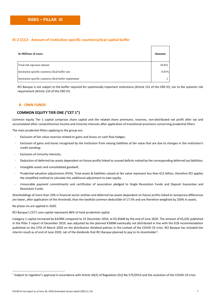## **III-2 CCC2 - Amount of institution-specific countercyclical capital buffer**

| In Millions of euros                                     | <b>Amounts</b> |
|----------------------------------------------------------|----------------|
| Total risk exposure amount                               | 34 822         |
| Institution specific countercy clical buffer rate        | 0.01%          |
| Institution specific countercy clical buffer requirement |                |

RCI Banque is not subject to the buffer required for systemically important institutions (Article 131 of the CRD IV), nor to the systemic risk requirement (Article 133 of the CRD IV).

#### **B - OWN FUNDS**

#### **COMMON EQUITY TIER ONE ("CET 1")**

Common equity Tier 1 capital comprises share capital and the related share premiums, reserves, non-distributed net profit after tax and accumulated other comprehensive income and minority interests after application of transitional provisions concerning prudential filters.

The main prudential filters applying to the group are:

- Exclusion of fair value reserves related to gains and losses on cash flow hedges;
- Exclusion of gains and losses recognized by the institution from valuing liabilities at fair value that are due to changes in the institution's credit standing;
- Exclusion of minority interests;
- Deduction of deferred tax assets dependent on future profits linked to unused deficits netted by the corresponding deferred tax liabilities;
- Intangible assets and consolidated goodwill;
- Prudential valuation adjustments (PVA). Total assets & liabilities valued at fair value represent less than €15 billion, therefore RCI applies the simplified method to calculate this additional adjustment to own equity;
- Irrevocable payment commitments and certificates of association pledged to Single Resolution Funds and Deposit Guarantee and Resolution Funds.

Shareholdings of more than 10% in financial sector entities and deferred tax assets dependent on future profits linked to temporary differences are lower, after application of the threshold, than the twofold common deductible of 17.5% and are therefore weighted by 250% in assets.

No phase-ins are applied in 2020.

RCI Banque's CET1 core capital represents 86% of total prudential capital.

Category 1 capital increased by €424M compared to 31 December 2019, at €5,456M by the end of June 2020. The amount of €5,032 published in the Pillar 3 report of December 2019, was adjusted by the planned €300M eventually not distributed in line with the ECB recommendation published on the 27th of March 2020 on the distribution dividend policies in the context of the COVID-19 crisis. RCI Banque has included the interim result as of end of June 2020, net of the dividends that RCI Banque planned to pay to its shareholder<sup>1</sup>.

<sup>&</sup>lt;sup>1</sup> Subject to regulator's approval in accordance with Article 26(2) of Regulation (EU) No 575/2013 and the evolution of the COVID-19 crisis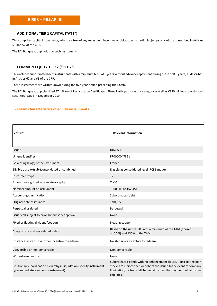## **ADDITIONAL TIER 1 CAPITAL ("AT1")**

This comprises capital instruments, which are free of any repayment incentive or obligation (in particular jumps on yield), as described in Articles 51 and 52 of the CRR.

The RCI Banque group holds no such instruments.

## **COMMON EQUITY TIER 2 ("CET 2")**

This includes subordinated debt instruments with a minimum term of 5 years without advance repayment during these first 5 years, as described in Articles 62 and 63 of the CRR.

These instruments are written down during the five-year period preceding their term.

The RCI Banque group classified €7 million of Participation Certificates (Titres Participatifs) in this category as well as €850 million subordinated securities issued in November 2019.

## **II-3 Main characteristics of equity instruments**

| Features                                                                                                         | <b>Relevant information</b>                                                                                                                                                                                                       |
|------------------------------------------------------------------------------------------------------------------|-----------------------------------------------------------------------------------------------------------------------------------------------------------------------------------------------------------------------------------|
| Issuer                                                                                                           | DIAC S.A.                                                                                                                                                                                                                         |
| Unique identifier                                                                                                | FR0000047821                                                                                                                                                                                                                      |
| Governing law(s) of the instrument                                                                               | French                                                                                                                                                                                                                            |
| Eligible at solo/(sub-)consolidated or combined                                                                  | Eligible at consolidated level (RCI Banque)                                                                                                                                                                                       |
| Instrument type                                                                                                  | T <sub>2</sub>                                                                                                                                                                                                                    |
| Amount recognized in regulatory capital                                                                          | 7 M€                                                                                                                                                                                                                              |
| Nominal amount of instrument                                                                                     | 1000 FRF or 152.45€                                                                                                                                                                                                               |
| Accounting classification                                                                                        | Subordinated debt                                                                                                                                                                                                                 |
| Original date of issuance                                                                                        | 1/04/85                                                                                                                                                                                                                           |
| Perpetual or dated                                                                                               | Perpetual                                                                                                                                                                                                                         |
| Issuer call subject to prior supervisory approval                                                                | None                                                                                                                                                                                                                              |
| Fixed or floating dividend/coupon                                                                                | Floating coupon                                                                                                                                                                                                                   |
| Coupon rate and any related index                                                                                | Based on the net result, with a minimum of the TAM (floored<br>at 6.5%) and 130% of the TAM                                                                                                                                       |
| Existence of step up or other incentive to redeem                                                                | No step up or incentive to redeem                                                                                                                                                                                                 |
| Convertible or non-convertible                                                                                   | Non-convertible                                                                                                                                                                                                                   |
| Write-down features                                                                                              | None                                                                                                                                                                                                                              |
| Position in subordination hierarchy in liquidation (specify instrument<br>type immediately senior to instrument) | Subordinated bonds with no enhancement clause. Participating loan<br>stocks are junior to senior debt of the issuer. In the event of company<br>liquidation, notes shall be repaid after the payment of all other<br>liabilities. |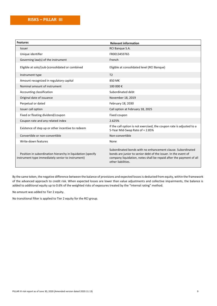| <b>Features</b>                                                                                                  | <b>Relevant information</b>                                                                                                                                                                                                |
|------------------------------------------------------------------------------------------------------------------|----------------------------------------------------------------------------------------------------------------------------------------------------------------------------------------------------------------------------|
| <b>Issuer</b>                                                                                                    | RCI Banque S.A.                                                                                                                                                                                                            |
| Unique identifier                                                                                                | FR0013459765                                                                                                                                                                                                               |
| Governing law(s) of the instrument                                                                               | French                                                                                                                                                                                                                     |
| Eligible at solo/(sub-)consolidated or combined                                                                  | Eligible at consolidated level (RCI Banque)                                                                                                                                                                                |
| Instrument type                                                                                                  | T <sub>2</sub>                                                                                                                                                                                                             |
| Amount recognized in regulatory capital                                                                          | 850 M€                                                                                                                                                                                                                     |
| Nominal amount of instrument                                                                                     | 100 000€                                                                                                                                                                                                                   |
| Accounting classification                                                                                        | Subordinated debt                                                                                                                                                                                                          |
| Original date of issuance                                                                                        | November 18, 2019                                                                                                                                                                                                          |
| Perpetual or dated                                                                                               | February 18, 2030                                                                                                                                                                                                          |
| Issuer call option                                                                                               | Call option at February 18, 2025                                                                                                                                                                                           |
| Fixed or floating dividend/coupon                                                                                | Fixed coupon                                                                                                                                                                                                               |
| Coupon rate and any related index                                                                                | 2.625%                                                                                                                                                                                                                     |
| Existence of step up or other incentive to redeem                                                                | If the call option is not exercised, the coupon rate is adjusted to a<br>5-Year Mid-Swap Rate of + 2.85%                                                                                                                   |
| Convertible or non-convertible                                                                                   | Non-convertible                                                                                                                                                                                                            |
| Write-down features                                                                                              | None                                                                                                                                                                                                                       |
| Position in subordination hierarchy in liquidation (specify<br>instrument type immediately senior to instrument) | Subordinated bonds with no enhancement clause. Subordinated<br>bonds are junior to senior debt of the issuer. In the event of<br>company liquidation, notes shall be repaid after the payment of all<br>other liabilities. |

By the same token, the negative difference between the balance of provisions and expected losses is deducted from equity, within the framework of the advanced approach to credit risk. When expected losses are lower than value adjustments and collective impairments, the balance is added to additional equity up to 0.6% of the weighted risks of exposures treated by the "internal rating" method.

No amount was added to Tier 2 equity.

No transitional filter is applied to Tier 2 equity for the RCI group.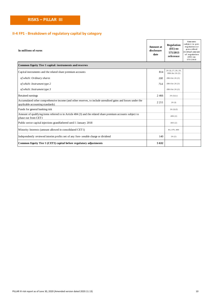## **II-4 FP1 - Breakdown of regulatory capital by category**

| <b>I FP1 - Breakdown of regulatory capital by category</b>                                                                                       |                                 |                                                  |                                                                                                                         |
|--------------------------------------------------------------------------------------------------------------------------------------------------|---------------------------------|--------------------------------------------------|-------------------------------------------------------------------------------------------------------------------------|
| In millions of euros                                                                                                                             | Amount at<br>disclosure<br>date | Regulation<br>$(EU)$ no<br>575/2013<br>reference | A mounts<br>subject to pre-<br>regulation or<br>prescribed<br>residual amount<br>of regulation<br>$(EU)$ no<br>575/2013 |
| Common Equity Tier 1 capital: instruments and reserves                                                                                           |                                 |                                                  |                                                                                                                         |
| Capital instruments and the related share premium accounts                                                                                       | 814                             | 26 (1), 27, 28, 29,<br>EBA list $26(3)$          |                                                                                                                         |
| of which: Ordinary shares                                                                                                                        | 100                             | $EBA$ list 26 (3)                                |                                                                                                                         |
| of which: Instrument type 2                                                                                                                      | 714                             | $EBA$ list 26 (3)                                |                                                                                                                         |
| of which: Instrument type 3                                                                                                                      |                                 | $EBA$ list 26 (3)                                |                                                                                                                         |
| Retained earnings                                                                                                                                | 2466                            | 26(1)(c)                                         |                                                                                                                         |
| Accumulated other comprehensive income (and other reserves, to include unrealised gains and losses under the<br>applicable accounting standards) | 2 2 1 1                         | 26(1)                                            |                                                                                                                         |
| Funds for general banking risk                                                                                                                   |                                 | 26(1)(f)                                         |                                                                                                                         |
| Amount of qualifying items referred to in Article 484 (3) and the related share premium accounts subject to<br>phase out from CET1               |                                 | 486(2)                                           |                                                                                                                         |
| Public sector capital injections grandfathered until 1 January 2018                                                                              |                                 | 483(2)                                           |                                                                                                                         |
| Minority Interests (amount allowed in consolidated CET1)                                                                                         |                                 | 84, 479, 480                                     |                                                                                                                         |
| Independently reviewed interim profits net of any fore-seeable charge or dividend                                                                | 140                             | 26(2)                                            |                                                                                                                         |
| Common Equity Tier 1 (CET1) capital before regulatory adjustments                                                                                | 5632                            |                                                  |                                                                                                                         |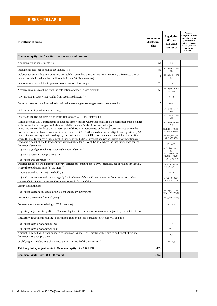| In millions of euros                                                                                                                                                                                                                      | <b>Amount</b> at<br>disclosure<br>date | Regulation<br>(EU) no<br>575/2013<br>reference      | A mo unts<br>subject to pre-<br>regulation or<br>prescribed<br>residual amount<br>of regulation<br>$(EU)$ no<br>575/2013 |
|-------------------------------------------------------------------------------------------------------------------------------------------------------------------------------------------------------------------------------------------|----------------------------------------|-----------------------------------------------------|--------------------------------------------------------------------------------------------------------------------------|
| Common Equity Tier 1 capital : instruments and reserves                                                                                                                                                                                   |                                        |                                                     |                                                                                                                          |
| Additional value adjustments (-)                                                                                                                                                                                                          | -54                                    | 34, 105                                             |                                                                                                                          |
| Intangible assets (net of related tax liability) (-)                                                                                                                                                                                      | $-85$                                  | 36 (1) (b), 37, 472<br>(4)                          |                                                                                                                          |
| Deferred tax assets that rely on future profitability excluding those arising from temporary differences (net of<br>related tax liability where the conditions in Article 38 (3) are met) (-)                                             | $-8$                                   | 36 (1) (c), 38, 472<br>(5)                          |                                                                                                                          |
| Fair value reserves related to gains or losses on cash flow hedges                                                                                                                                                                        | 28                                     | 33(a)                                               |                                                                                                                          |
| Negative amounts resulting from the calculation of expected loss amounts                                                                                                                                                                  | $-62$                                  | $36$ (1) (d), $40$ , $159$ ,<br>472(6)              |                                                                                                                          |
| Any increase in equity that results from securitised assets (-)                                                                                                                                                                           |                                        | 32(1)                                               |                                                                                                                          |
| Gains or losses on liabilities valued at fair value resulting from changes in own credit standing                                                                                                                                         | 5                                      | 33(b)                                               |                                                                                                                          |
| Defined-benefit pension fund assets (-)                                                                                                                                                                                                   |                                        | 36 (1) (e), 41, 472<br>(7)                          |                                                                                                                          |
| Direct and indirect holdings by an institution of own CET1 instruments (-)                                                                                                                                                                |                                        | 36 (1) (f), 42, 472<br>(8)                          |                                                                                                                          |
| Holdings of the CET1 instruments of financial sector entities where those entities have reciprocal cross holdings                                                                                                                         |                                        | 36 (1) (g), 44, 472                                 |                                                                                                                          |
| with the institution designed to inflate artificially the own funds of the institution (-)<br>Direct and indirect holdings by the institution of the CET1 instruments of financial sector entities where the                              |                                        | (9)<br>36(1)(h), 43, 45, 46, 4                      |                                                                                                                          |
| institution does not have a investment in those entities $\ll 10\%$ threshold and net of eligible short positions) (-)<br>Direct, indirect and synthetic holdings by the institution of the CET1 instruments of financial sector entities |                                        | 9(2)(3),79,472(10)                                  |                                                                                                                          |
| where the institution has a investment in those entities $\left($ < 10% threshold and net of eligible short positions) $\left($ -)                                                                                                        |                                        | 36-1,43,45,47,48-<br>1,49,79,470,472-11             |                                                                                                                          |
| Exposure amount of the following items which qualify for a RW of 1250%, where the institution opts for the<br>deduction alternative                                                                                                       |                                        | 36(l)(k)                                            |                                                                                                                          |
| of which: qualifying holdings outside the financial sector $(-)$                                                                                                                                                                          |                                        | 36 (1) (k) (i), 89 to<br>91                         |                                                                                                                          |
| of which: securitisation positions (-)                                                                                                                                                                                                    |                                        | $36$ (1) (k) (ii) $243$<br>(l)(b)244(l)(b)          |                                                                                                                          |
| of which: free deliveries (-)                                                                                                                                                                                                             |                                        | 36 (1) (k) (iii), 379<br>(3)                        |                                                                                                                          |
| Deferred tax assets arising from temporary differences (amount above 10% threshold, net of related tax liability<br>where the conditions in $38(3)$ are met) (-)                                                                          |                                        | 36 (1) (c), 38, 48<br>$(l)(a)$ , 470, 472 $(5)$     |                                                                                                                          |
| Amount exceeding the 15% threshold (-)                                                                                                                                                                                                    |                                        | 48(1)                                               |                                                                                                                          |
| of which: direct and indirect holdings by the institution of the CET1 instruments of financial sector entities<br>where the institution has a significant investment in those entities                                                    |                                        | $36$ (1) (i), 48 (1)<br>$(b)$ , 470, 472 $(11)$     |                                                                                                                          |
| Empty Set in the EU                                                                                                                                                                                                                       |                                        |                                                     |                                                                                                                          |
| of which: deferred tax assets arising from temporary differences                                                                                                                                                                          |                                        | $36$ (1) (c), $38, 48$<br>$(l)(a)$ , 470, 472 $(5)$ |                                                                                                                          |
| Losses for the current financial year (-)                                                                                                                                                                                                 |                                        | 36 (1) (a), 472 (3)                                 |                                                                                                                          |
| Foreseeable tax charges relating to CET1 items (-)                                                                                                                                                                                        |                                        | 36(1) (1)                                           |                                                                                                                          |
| Regulatory adjustments applied to Common Equity Tier 1 in respect of amounts subject to pre-CRR treatment                                                                                                                                 |                                        |                                                     |                                                                                                                          |
| Regulatory adjustments relating to unrealised gains and losses pursuant to Articles 467 and 468                                                                                                                                           |                                        |                                                     |                                                                                                                          |
| of which: filter for unrealised loss                                                                                                                                                                                                      |                                        | 467                                                 |                                                                                                                          |
| of which: filter for unrealised gain                                                                                                                                                                                                      |                                        | 468                                                 |                                                                                                                          |
| Amount to be deducted from or added to Common Equity Tier 1 capital with regard to additional filters and<br>deductions required pre CRR                                                                                                  |                                        | 481                                                 |                                                                                                                          |
| Qualifying AT1 deductions that exceed the AT1 capital of the institution (-)                                                                                                                                                              |                                        | 36(1)(i)                                            |                                                                                                                          |
| Total regulatory adjustments to Common equity Tier 1 (CET1)                                                                                                                                                                               | -176                                   |                                                     |                                                                                                                          |
| Common Equity Tier 1 (CET1) capital                                                                                                                                                                                                       | 5456                                   |                                                     |                                                                                                                          |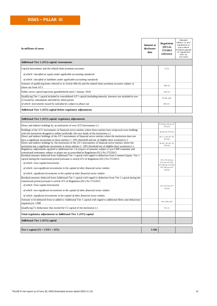| In millions of euros                                                                                                                                                                                                                | <b>Amount</b> at<br>disclosure<br>date | Regulation<br>(EU) no<br>575/2013<br>reference | A mounts<br>subject to pre-<br>regulation or<br>prescribed<br>esidual amount<br>of regulation<br>$(EU)$ no<br>575/2013 |
|-------------------------------------------------------------------------------------------------------------------------------------------------------------------------------------------------------------------------------------|----------------------------------------|------------------------------------------------|------------------------------------------------------------------------------------------------------------------------|
| <b>Additional Tier 1 (AT1) capital: instruments</b>                                                                                                                                                                                 |                                        |                                                |                                                                                                                        |
| Capital instruments and the related share premium accounts                                                                                                                                                                          |                                        | 51, 52                                         |                                                                                                                        |
| of which: classified as equity under applicable accounting standards                                                                                                                                                                |                                        |                                                |                                                                                                                        |
| of which: classified as liabilities under applicable accounting standards                                                                                                                                                           |                                        |                                                |                                                                                                                        |
| Amount of qualifying items referred to in Article 484 (4) and the related share premium accounts subject to<br>phase out from AT1                                                                                                   |                                        | 486(3)                                         |                                                                                                                        |
| Public sector capital injections grandfathered until 1 January 2018                                                                                                                                                                 |                                        | 483(3)                                         |                                                                                                                        |
| Qualifying Tier 1 capital included in consolidated AT1 capital (including minority interests not included in row<br>5) issued by subsidiaries and held by third parties                                                             |                                        | 85, 86, 480                                    |                                                                                                                        |
| of which: instruments issued by subsidiaries subject to phase out                                                                                                                                                                   |                                        | 486(3)                                         |                                                                                                                        |
| Additional Tier 1 (AT1) capital before regulatory adjustments                                                                                                                                                                       |                                        |                                                |                                                                                                                        |
|                                                                                                                                                                                                                                     |                                        |                                                |                                                                                                                        |
| Additional Tier 1 (AT1) capital: regulatory adjustments                                                                                                                                                                             |                                        |                                                |                                                                                                                        |
| Direct and indirect holdings by an institution of own ATI Instruments (-)                                                                                                                                                           |                                        | 52 (1) (b), 56 (a), 57,<br>475(2)              |                                                                                                                        |
| Holdings of the AT1 instruments of financial sector entities where those entities have reciprocal cross holdings                                                                                                                    |                                        | 56 (b), 58, 475 (3)                            |                                                                                                                        |
| with the institution designed to inflate artificially the own funds of the institution (-)<br>Direct and indirect holdings of the AT1 instruments of financial sector entities where the institution does not                       |                                        | 56 (c), 59, 60, 79,                            |                                                                                                                        |
| have a significant investment in those entities $($ < 10% threshold and net of eligible short positions) $($ - $)$<br>Direct and indirect holdings by the institution of the AT1 instruments of financial sector entities where the |                                        | 475(4)<br>56 (d), 59, 60, 79,                  |                                                                                                                        |
| institution has a significant investment in those entities $(< 10\%$ threshold net of eligible short positions) (-)<br>Regulatory adjustments applied to additional tier 1 in respect of amounts subject to pre-CRR treatment and   |                                        | 475(4)                                         |                                                                                                                        |
| transitional treatments subject to phase out as prescribed in Regulation (EU) No 575/2013<br>Residual amounts deducted from Additional Tier 1 capital with regard to deduction from Common Equity Tier 1                            |                                        |                                                |                                                                                                                        |
| capital during the transitional period pursuant to article 472 of Regulation (EU) No 575/2013                                                                                                                                       |                                        | $472, 472$ (3) (a),                            |                                                                                                                        |
| of which: Own capital instruments                                                                                                                                                                                                   |                                        | 472 (4), 472 (6),<br>472 (8) (a), 472 (9),     |                                                                                                                        |
| of which: non-significant investments in the capital of other financial sector entities                                                                                                                                             |                                        | 472 (10) (a), 472<br>(11)(a)                   |                                                                                                                        |
| of which: significant investments in the capital of other financial sector entities                                                                                                                                                 |                                        |                                                |                                                                                                                        |
| Residual amounts deducted from Additional Tier 1 capital with regard to deduction from Tier 2 capital during the                                                                                                                    |                                        |                                                |                                                                                                                        |
| transitional period pursuant to article 475 of Regulation (EU) No 575/2013<br>of which: Own capital instruments                                                                                                                     |                                        |                                                |                                                                                                                        |
| of which: non-significant investments in the capital of other financial sector entities                                                                                                                                             |                                        | 477, 477 (3), 477<br>$(4)$ $(a)$               |                                                                                                                        |
| of which: significant investments in the capital of other financial sector entities                                                                                                                                                 |                                        |                                                |                                                                                                                        |
| Amount to be deducted from or added to Additional Tier 1 capital with regard to additional filters and deductions<br>required pre- CRR                                                                                              |                                        | 467, 468, 481                                  |                                                                                                                        |
| Qualifying T2 deductions that exceed the T2 capital of the institution (-)                                                                                                                                                          |                                        | 56 (e)                                         |                                                                                                                        |
| Total regulatory adjustments to Additional Tier 1 (AT1) capital                                                                                                                                                                     |                                        |                                                |                                                                                                                        |
| <b>Additional Tier 1 (AT1) capital</b>                                                                                                                                                                                              |                                        |                                                |                                                                                                                        |
| Tier 1 capital $(T1 = CET1 + AT1)$                                                                                                                                                                                                  | 5456                                   |                                                |                                                                                                                        |
|                                                                                                                                                                                                                                     |                                        |                                                |                                                                                                                        |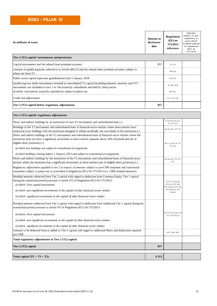| A mo unts<br>subject to pre-<br>Regulation<br>Amount at<br>regulation or<br>(EU) no<br>prescribed<br>disclosure<br>residual amount<br>575/2013<br>date<br>of regulation<br>reference<br>$(EU)$ no<br>575/2013<br>857<br>62,63<br>486(4)<br>483(4)<br>87, 88, 480<br>of which: instruments issued by subsidiaries subject to phase out<br>486(4)<br>$62$ (c) et (d)<br>857<br>Tier 2 (T2) capital: regulatory adjustments<br>63 (b) (i), 66 (a),<br>67,477(2)<br>Holdings of the T2 instruments and subordinated bans of financial sector entities where those entities have<br>66 (b), 68, 477 (3)<br>institution does not have a significant investment in those entities (amount above 10% threshold and net of<br>eligible short positions) (-)<br>66 (c), 69, 70, 79,<br>477(4)<br>of which new holdings not subject to transitional arrangements<br>of which holdings existing before 1 January 2013 and subject to transitional arrangements<br>66 (d), 69, 79, 477<br>(4)<br>entities where the institution has a significant investment in those entities (net of eligible short positions) (-)<br>Regulatory adjustments applied to tier 2 in respect of amounts subject to pre-CRR treatment and transitional<br>during the transitional period pursuant to article 472 of Regulation (EU) No 575/2013<br>472, 472 (3) (a),<br>of which: Own capital instruments<br>472 (4), 472 (6),<br>472 (8) (a), 472 (9).<br>472 (10) (a), 472<br>of which: non-significant investments in the capital of other financial sector entities<br>(11)(a)<br>of which: significant investments in the capital of other financial sector entities<br>475, 475 (2) (a), 475<br>of which: Own capital instruments<br>$(3), 475(4)$ (a)<br>of which: non-significant investments in the capital of other financial sector entities<br>of which: significant investments in the capital of other financial sector entities<br>467, 468, 481<br>857<br>6 3 1 3 |                                                                                                                                                                                                          |  |  |
|----------------------------------------------------------------------------------------------------------------------------------------------------------------------------------------------------------------------------------------------------------------------------------------------------------------------------------------------------------------------------------------------------------------------------------------------------------------------------------------------------------------------------------------------------------------------------------------------------------------------------------------------------------------------------------------------------------------------------------------------------------------------------------------------------------------------------------------------------------------------------------------------------------------------------------------------------------------------------------------------------------------------------------------------------------------------------------------------------------------------------------------------------------------------------------------------------------------------------------------------------------------------------------------------------------------------------------------------------------------------------------------------------------------------------------------------------------------------------------------------------------------------------------------------------------------------------------------------------------------------------------------------------------------------------------------------------------------------------------------------------------------------------------------------------------------------------------------------------------------------------------------------------------------------------------------------------|----------------------------------------------------------------------------------------------------------------------------------------------------------------------------------------------------------|--|--|
|                                                                                                                                                                                                                                                                                                                                                                                                                                                                                                                                                                                                                                                                                                                                                                                                                                                                                                                                                                                                                                                                                                                                                                                                                                                                                                                                                                                                                                                                                                                                                                                                                                                                                                                                                                                                                                                                                                                                                    | In millions of euros                                                                                                                                                                                     |  |  |
|                                                                                                                                                                                                                                                                                                                                                                                                                                                                                                                                                                                                                                                                                                                                                                                                                                                                                                                                                                                                                                                                                                                                                                                                                                                                                                                                                                                                                                                                                                                                                                                                                                                                                                                                                                                                                                                                                                                                                    | Tier 2 (T2) capital: instruments and provisions                                                                                                                                                          |  |  |
|                                                                                                                                                                                                                                                                                                                                                                                                                                                                                                                                                                                                                                                                                                                                                                                                                                                                                                                                                                                                                                                                                                                                                                                                                                                                                                                                                                                                                                                                                                                                                                                                                                                                                                                                                                                                                                                                                                                                                    | Capital instruments and the related share premium accounts                                                                                                                                               |  |  |
|                                                                                                                                                                                                                                                                                                                                                                                                                                                                                                                                                                                                                                                                                                                                                                                                                                                                                                                                                                                                                                                                                                                                                                                                                                                                                                                                                                                                                                                                                                                                                                                                                                                                                                                                                                                                                                                                                                                                                    | Amount of qualifying items referred to in Article 484 (5) and the related share premium accounts subject to<br>phase out from T2                                                                         |  |  |
|                                                                                                                                                                                                                                                                                                                                                                                                                                                                                                                                                                                                                                                                                                                                                                                                                                                                                                                                                                                                                                                                                                                                                                                                                                                                                                                                                                                                                                                                                                                                                                                                                                                                                                                                                                                                                                                                                                                                                    | Public sector capital injections grandfathered until 1 January 2018                                                                                                                                      |  |  |
|                                                                                                                                                                                                                                                                                                                                                                                                                                                                                                                                                                                                                                                                                                                                                                                                                                                                                                                                                                                                                                                                                                                                                                                                                                                                                                                                                                                                                                                                                                                                                                                                                                                                                                                                                                                                                                                                                                                                                    | Qualifying own funds instruments included in consolidated T2 capital (including minority interests and AT1<br>instruments not included in rows 5 or 34) issued by subsidiaries and held by third parties |  |  |
|                                                                                                                                                                                                                                                                                                                                                                                                                                                                                                                                                                                                                                                                                                                                                                                                                                                                                                                                                                                                                                                                                                                                                                                                                                                                                                                                                                                                                                                                                                                                                                                                                                                                                                                                                                                                                                                                                                                                                    | Credit risk adjustments                                                                                                                                                                                  |  |  |
|                                                                                                                                                                                                                                                                                                                                                                                                                                                                                                                                                                                                                                                                                                                                                                                                                                                                                                                                                                                                                                                                                                                                                                                                                                                                                                                                                                                                                                                                                                                                                                                                                                                                                                                                                                                                                                                                                                                                                    | Tier 2 (T2) capital before regulatory adjustments                                                                                                                                                        |  |  |
|                                                                                                                                                                                                                                                                                                                                                                                                                                                                                                                                                                                                                                                                                                                                                                                                                                                                                                                                                                                                                                                                                                                                                                                                                                                                                                                                                                                                                                                                                                                                                                                                                                                                                                                                                                                                                                                                                                                                                    |                                                                                                                                                                                                          |  |  |
|                                                                                                                                                                                                                                                                                                                                                                                                                                                                                                                                                                                                                                                                                                                                                                                                                                                                                                                                                                                                                                                                                                                                                                                                                                                                                                                                                                                                                                                                                                                                                                                                                                                                                                                                                                                                                                                                                                                                                    |                                                                                                                                                                                                          |  |  |
|                                                                                                                                                                                                                                                                                                                                                                                                                                                                                                                                                                                                                                                                                                                                                                                                                                                                                                                                                                                                                                                                                                                                                                                                                                                                                                                                                                                                                                                                                                                                                                                                                                                                                                                                                                                                                                                                                                                                                    | Direct and indirect holdings by an institution of own T2 instruments and subordinated bans (-)                                                                                                           |  |  |
|                                                                                                                                                                                                                                                                                                                                                                                                                                                                                                                                                                                                                                                                                                                                                                                                                                                                                                                                                                                                                                                                                                                                                                                                                                                                                                                                                                                                                                                                                                                                                                                                                                                                                                                                                                                                                                                                                                                                                    | reciprocal cross holdings with the institution designed to inflate artificially the own funds of the institution (-)                                                                                     |  |  |
|                                                                                                                                                                                                                                                                                                                                                                                                                                                                                                                                                                                                                                                                                                                                                                                                                                                                                                                                                                                                                                                                                                                                                                                                                                                                                                                                                                                                                                                                                                                                                                                                                                                                                                                                                                                                                                                                                                                                                    | Direct and indirect holdings of the T2 instruments and subordinated loans of financial sector entities where the                                                                                         |  |  |
|                                                                                                                                                                                                                                                                                                                                                                                                                                                                                                                                                                                                                                                                                                                                                                                                                                                                                                                                                                                                                                                                                                                                                                                                                                                                                                                                                                                                                                                                                                                                                                                                                                                                                                                                                                                                                                                                                                                                                    |                                                                                                                                                                                                          |  |  |
|                                                                                                                                                                                                                                                                                                                                                                                                                                                                                                                                                                                                                                                                                                                                                                                                                                                                                                                                                                                                                                                                                                                                                                                                                                                                                                                                                                                                                                                                                                                                                                                                                                                                                                                                                                                                                                                                                                                                                    |                                                                                                                                                                                                          |  |  |
|                                                                                                                                                                                                                                                                                                                                                                                                                                                                                                                                                                                                                                                                                                                                                                                                                                                                                                                                                                                                                                                                                                                                                                                                                                                                                                                                                                                                                                                                                                                                                                                                                                                                                                                                                                                                                                                                                                                                                    |                                                                                                                                                                                                          |  |  |
|                                                                                                                                                                                                                                                                                                                                                                                                                                                                                                                                                                                                                                                                                                                                                                                                                                                                                                                                                                                                                                                                                                                                                                                                                                                                                                                                                                                                                                                                                                                                                                                                                                                                                                                                                                                                                                                                                                                                                    | Direct and indirect holdings by the institution of the T2 instruments and subordinated loans of financial sector                                                                                         |  |  |
|                                                                                                                                                                                                                                                                                                                                                                                                                                                                                                                                                                                                                                                                                                                                                                                                                                                                                                                                                                                                                                                                                                                                                                                                                                                                                                                                                                                                                                                                                                                                                                                                                                                                                                                                                                                                                                                                                                                                                    |                                                                                                                                                                                                          |  |  |
|                                                                                                                                                                                                                                                                                                                                                                                                                                                                                                                                                                                                                                                                                                                                                                                                                                                                                                                                                                                                                                                                                                                                                                                                                                                                                                                                                                                                                                                                                                                                                                                                                                                                                                                                                                                                                                                                                                                                                    | treatments subject to phase out as prescribed in Regulation (EU) No 575/2013 (i.e. CRR residual amounts)                                                                                                 |  |  |
|                                                                                                                                                                                                                                                                                                                                                                                                                                                                                                                                                                                                                                                                                                                                                                                                                                                                                                                                                                                                                                                                                                                                                                                                                                                                                                                                                                                                                                                                                                                                                                                                                                                                                                                                                                                                                                                                                                                                                    | Residual amounts deducted from Tier 2 capital with regard to deduction from Common Equity Tier 1 capital                                                                                                 |  |  |
|                                                                                                                                                                                                                                                                                                                                                                                                                                                                                                                                                                                                                                                                                                                                                                                                                                                                                                                                                                                                                                                                                                                                                                                                                                                                                                                                                                                                                                                                                                                                                                                                                                                                                                                                                                                                                                                                                                                                                    |                                                                                                                                                                                                          |  |  |
|                                                                                                                                                                                                                                                                                                                                                                                                                                                                                                                                                                                                                                                                                                                                                                                                                                                                                                                                                                                                                                                                                                                                                                                                                                                                                                                                                                                                                                                                                                                                                                                                                                                                                                                                                                                                                                                                                                                                                    |                                                                                                                                                                                                          |  |  |
|                                                                                                                                                                                                                                                                                                                                                                                                                                                                                                                                                                                                                                                                                                                                                                                                                                                                                                                                                                                                                                                                                                                                                                                                                                                                                                                                                                                                                                                                                                                                                                                                                                                                                                                                                                                                                                                                                                                                                    |                                                                                                                                                                                                          |  |  |
|                                                                                                                                                                                                                                                                                                                                                                                                                                                                                                                                                                                                                                                                                                                                                                                                                                                                                                                                                                                                                                                                                                                                                                                                                                                                                                                                                                                                                                                                                                                                                                                                                                                                                                                                                                                                                                                                                                                                                    | Residual amounts deducted from Tier 2 capital with regard to deduction from Additional Tier 1 capital during the<br>transitional period pursuant to article 475 of Regulation (EU) No 575/2013           |  |  |
|                                                                                                                                                                                                                                                                                                                                                                                                                                                                                                                                                                                                                                                                                                                                                                                                                                                                                                                                                                                                                                                                                                                                                                                                                                                                                                                                                                                                                                                                                                                                                                                                                                                                                                                                                                                                                                                                                                                                                    |                                                                                                                                                                                                          |  |  |
|                                                                                                                                                                                                                                                                                                                                                                                                                                                                                                                                                                                                                                                                                                                                                                                                                                                                                                                                                                                                                                                                                                                                                                                                                                                                                                                                                                                                                                                                                                                                                                                                                                                                                                                                                                                                                                                                                                                                                    |                                                                                                                                                                                                          |  |  |
|                                                                                                                                                                                                                                                                                                                                                                                                                                                                                                                                                                                                                                                                                                                                                                                                                                                                                                                                                                                                                                                                                                                                                                                                                                                                                                                                                                                                                                                                                                                                                                                                                                                                                                                                                                                                                                                                                                                                                    |                                                                                                                                                                                                          |  |  |
|                                                                                                                                                                                                                                                                                                                                                                                                                                                                                                                                                                                                                                                                                                                                                                                                                                                                                                                                                                                                                                                                                                                                                                                                                                                                                                                                                                                                                                                                                                                                                                                                                                                                                                                                                                                                                                                                                                                                                    | Amount to be deducted from or added to Tier 2 capital with regard to additional filters and deductions required<br>pre CRR                                                                               |  |  |
|                                                                                                                                                                                                                                                                                                                                                                                                                                                                                                                                                                                                                                                                                                                                                                                                                                                                                                                                                                                                                                                                                                                                                                                                                                                                                                                                                                                                                                                                                                                                                                                                                                                                                                                                                                                                                                                                                                                                                    | Total regulatory adjustments to Tier 2 (T2) capital                                                                                                                                                      |  |  |
|                                                                                                                                                                                                                                                                                                                                                                                                                                                                                                                                                                                                                                                                                                                                                                                                                                                                                                                                                                                                                                                                                                                                                                                                                                                                                                                                                                                                                                                                                                                                                                                                                                                                                                                                                                                                                                                                                                                                                    | Tier 2 (T2) capital                                                                                                                                                                                      |  |  |
|                                                                                                                                                                                                                                                                                                                                                                                                                                                                                                                                                                                                                                                                                                                                                                                                                                                                                                                                                                                                                                                                                                                                                                                                                                                                                                                                                                                                                                                                                                                                                                                                                                                                                                                                                                                                                                                                                                                                                    | Total capital $(TC = T1 + T2)$                                                                                                                                                                           |  |  |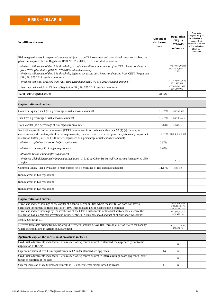| In millions of euros                                                                                                                                                                                                                                                                                                                | <b>Amount at</b><br>disclosure<br>date | Regulation<br>(EU) no<br>575/2013<br>reference                  | A mounts<br>subject to pre-<br>regulation or<br>prescribed<br>residual amount<br>of regulation<br>$(EU)$ no<br>575/2013 |
|-------------------------------------------------------------------------------------------------------------------------------------------------------------------------------------------------------------------------------------------------------------------------------------------------------------------------------------|----------------------------------------|-----------------------------------------------------------------|-------------------------------------------------------------------------------------------------------------------------|
| Risk weighted assets in respect of amounts subject to pre-CRR treatment and transitional treatments subject to<br>phase out as prescribed in Regulation (EU) No 575/2013(i.e. CRR residual amounts)                                                                                                                                 |                                        |                                                                 |                                                                                                                         |
| of which: Adjustment of the 15 % threshold, part of the significant investments of the CET1, items not deducted<br>from CET1 (Regulation (EU) No 575/2013 residual amounts)<br>of which: Adjustment of the 15 % threshold, deferred tax assets part, items not deducted from CET1 (Regulation<br>(EU) No 575/2013 residual amounts) |                                        | 472,472(5),472(8)<br>$(b)$ , 472 $(10)(b)$ , 472<br>(II)(b)     |                                                                                                                         |
| of which: items not deducted from AT1 items (Regulation (EU) No $575/2013$ residual amounts)<br>Items not deducted from T2 items (Regulation (EU) No 575/2013 residual amounts)                                                                                                                                                     |                                        | 475,475(2)(b),475(<br>$2)(c)$ , 475(4)(b)<br>477,477(2)(b),477( |                                                                                                                         |
| Total risk weighted assets                                                                                                                                                                                                                                                                                                          | 34822                                  | $2)(c)$ , 477(4)(b)                                             |                                                                                                                         |

| Capital ratios and buffers                                                                                                                                                                                                                                                                                                         |        |                         |  |
|------------------------------------------------------------------------------------------------------------------------------------------------------------------------------------------------------------------------------------------------------------------------------------------------------------------------------------|--------|-------------------------|--|
| Common Equity Tier 1 (as a percentage of risk exposure amount)                                                                                                                                                                                                                                                                     | 15.67% | $92(2)(a)$ , 465        |  |
| Tier 1 (as a percentage of risk exposure amount)                                                                                                                                                                                                                                                                                   | 15.67% | $92(2)(b)$ , 465        |  |
| Total capital (as a percentage of risk exposure amount)                                                                                                                                                                                                                                                                            | 18.13% | 92 $(2)(c)$             |  |
| Institution specific buffer requirement (CET1 requirement in accordance with article 92 (1) (a) plus capital<br>conservation and countercyclical buffer requirements, plus systemic risk buffer, plus the systemically important<br>institution buffer (G-SII or 0-SII buffer), expressed as a percentage of risk exposure amount) |        | 2.51% CRD 128, 129, 130 |  |
| of which: capital conservation buffer requirement                                                                                                                                                                                                                                                                                  | 2.50%  |                         |  |
| of which: countercyclical buffer requirement                                                                                                                                                                                                                                                                                       | 0.01%  |                         |  |
| of which: systemic risk buffer requirement                                                                                                                                                                                                                                                                                         |        |                         |  |
| of which: Global Systemically Important Institution $(G-511)$ or Other Systemically Important Institution $(0-SII)$<br>buffer                                                                                                                                                                                                      |        | CRD B1                  |  |
| Common Equity Tier 1 available to meet buffers (as a percentage of risk exposure amount)                                                                                                                                                                                                                                           | 11.17% | <b>CRD 128</b>          |  |
| [non relevant in EU regulation]                                                                                                                                                                                                                                                                                                    |        |                         |  |
| [non relevant in EU regulation]                                                                                                                                                                                                                                                                                                    |        |                         |  |
| [non relevant in EU regulation]                                                                                                                                                                                                                                                                                                    |        |                         |  |

| <b>Capital ratios and buffers</b>                                                                                                |                                      |  |
|----------------------------------------------------------------------------------------------------------------------------------|--------------------------------------|--|
| Direct and indirect holdings of the capital of financial sector entities where the institution does not have a                   | $36 - 1,45,46,472$                   |  |
| significant investment in those entities $\ll 10\%$ threshold and net of eligible short positions)                               | 10,56,59,60,475-<br>4.66.69.70.477-4 |  |
| Direct and indirect holdings by the institution of the CET 1 instruments of financial sector entities where the                  | $36$ (1) (i), $45, 48$ ,             |  |
| institution has a significant investment in those entities $\langle \langle 10\%$ threshold and net of eligible short positions) | 470, 472 (11)                        |  |
| Empty Set in the EU                                                                                                              |                                      |  |
| Deferred tax assets arising from temporary differences (amount below 10% threshold, net of related tax liability                 | 36(1)(c), 38, 48,                    |  |
| where the conditions in Article 38 (3) are met)                                                                                  | 470, 472(5)                          |  |
|                                                                                                                                  |                                      |  |
| Applicable caps on the inclusion of provisions in Tier 2                                                                         |                                      |  |
| Credit risk adjustments included in T2 in respect of exposures subject to standardized approach (prior to the                    | 62                                   |  |

| application of the cap)                                                                                                                            |     |    |  |
|----------------------------------------------------------------------------------------------------------------------------------------------------|-----|----|--|
| Cap on inclusion of credit risk adjustments in T2 under standardised approach                                                                      | 149 | 62 |  |
| Credit risk adjustments included in T2 in respect of exposures subject to internai ratings-based approach (prior<br>to the application of the cap) |     | 62 |  |
| Cap for inclusion of credit risk adjustments in T2 under internal ratings-based approach                                                           |     | 62 |  |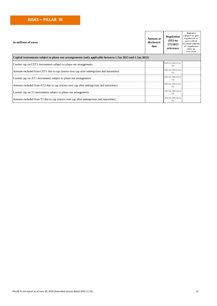| In millions of euros                                                                                      | Amount at<br>disclosure<br>date | Regulation<br>(EU) no<br>575/2013<br>reference | A mounts<br>subject to pre-<br>regulation or<br>prescribed<br>residual amount<br>of regulation<br>$(EU)$ no<br>575/2013 |
|-----------------------------------------------------------------------------------------------------------|---------------------------------|------------------------------------------------|-------------------------------------------------------------------------------------------------------------------------|
| Capital instruments subject to phase-out arrangements (only applicable between 1 Jan 2013 and 1 Jan 2022) |                                 |                                                |                                                                                                                         |
| Current cap on CET1 instruments subject to phase out arrangements                                         |                                 | 484 (3), 486 (2) et<br>(5)                     |                                                                                                                         |
| Amount excluded from CET1 due to cap (excess over cap atter redemptions and maturities)                   |                                 | 484 (3), 486 (2) et<br>(5)                     |                                                                                                                         |
| Current cap on AT1 instruments subject to phase out arrangements                                          |                                 | 484 (4), 486 (3) et<br>(5)                     |                                                                                                                         |
| Amount excluded from AT1 due to cap (excess over cap after redemptions and maturities)                    |                                 | 484 (4), 486 (3) et<br>(5)                     |                                                                                                                         |
| Current cap on T2 instruments subject to phase out arrangements                                           |                                 | 484 (5), 486 (4) et<br>(5)                     |                                                                                                                         |
| Amount excluded from T2 due to cap (excess over cap after redemptions and maturities)                     |                                 | 484 (5), 486 (4) et<br>(5)                     |                                                                                                                         |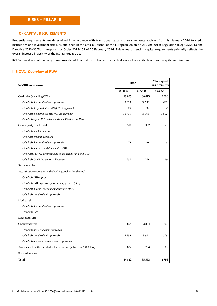#### **C - CAPITAL REQUIREMENTS**

Prudential requirements are determined in accordance with transitional texts and arrangements applying from 1st January 2014 to credit institutions and investment firms, as published in the Official Journal of the European Union on 26 June 2013: Regulation (EU) 575/2013 and Directive 2013/36/EU, transposed by Order 2014-158 of 20 February 2014. This upward trend in capital requirements primarily reflects the overall increase in activity of the RCI Banque group.

RCI Banque does not own any non-consolidated financial institution with an actual amount of capital less than its capital requirement.

## **II-5 OV1- Overview of RWA**

| In Millions of euros                                            | <b>RWA</b> | Min. capital<br>requirements |         |
|-----------------------------------------------------------------|------------|------------------------------|---------|
|                                                                 | 06/2020    | 03/2020                      | 06/2020 |
| Credit risk (excluding CCR)                                     | 29825      | 30 613                       | 2 3 8 6 |
| Of which the standardised approach                              | 11 025     | 11 553                       | 882     |
| Of which the foundation IRB (FIRB) approach                     | 29         | 92                           | 2       |
| Of which the advanced IRB (AIRB) approach                       | 18770      | 18 968                       | 1 502   |
| Of which equity IRB under the simple RWA or the IMA             |            |                              |         |
| Counterparty Credit Risk                                        |            | 332                          | 25      |
| Of which mark to market                                         |            |                              |         |
| Of which original exposure                                      |            |                              |         |
| Of which the standardised approach                              | 74         | 91                           | 6       |
| Of which internal model method (IMM)                            |            |                              |         |
| Of which REA for contributions to the default fund of a CCP     |            |                              |         |
| Of which Credit Valuation Adjustment                            | 237        | 241                          | 19      |
| Settlement risk                                                 |            |                              |         |
| Securitisation exposures in the banking book (after the cap)    |            |                              |         |
| Of which IRB approach                                           |            |                              |         |
| Of which IRB supervisory formula approach (SFA)                 |            |                              |         |
| Of which internal assessment approach (IAA)                     |            |                              |         |
| Of which standardised approach                                  |            |                              |         |
| Market risk                                                     |            |                              |         |
| Of which the standardised approach                              |            |                              |         |
| Of which IMA                                                    |            |                              |         |
| Large exposures                                                 |            |                              |         |
| Operational risk                                                | 3854       | 3854                         | 308     |
| Of which basic indicator approach                               |            |                              |         |
| Of which standardised approach                                  | 3854       | 3854                         | 308     |
| Of which advanced measurement approach                          |            |                              |         |
| Amounts below the thresholds for deduction (subject to 250% RW) | 832        | 754                          | 67      |
| Floor adjustment                                                |            |                              |         |
| Total                                                           | 34822      | 35 553                       | 2786    |
|                                                                 |            |                              |         |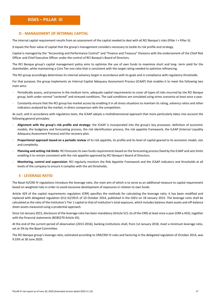#### **D - MANAGEMENT OF INTERNAL CAPITAL**

The internal capital requirement results from an assessment of the capital needed to deal with all RCI Banque's risks (Pillar I + Pillar II).

It equals the floor value of capital that the group's management considers necessary to tackle its risk profile and strategy.

Capital is managed by the "Accounting and Performance Control" and "Finance and Treasury" Divisions with the endorsement of the Chief Risk Officer and Chief Executive Officer under the control of RCI Banque's Board of Directors.

The RCI Banque group's capital management policy aims to optimize the use of own funds to maximize short and long- term yield for the shareholder, while maintaining a Core Tier one ratio that is consistent with the target rating needed to optimize refinancing.

The RCI group accordingly determines its internal solvency target in accordance with its goals and in compliance with regulatory thresholds.

For that purpose, the group implements an Internal Capital Adequacy Assessment Process (ICAAP) that enables it to meet the following two main aims:

- Periodically assess, and preserve in the medium term, adequate capital requirements to cover all types of risks incurred by the RCI Banque group, both under normal "centered" and stressed conditions. The said conditions are simulated using stress scenarios at least once a year.
- Constantly ensure that the RCI group has market access by enabling it in all stress situations to maintain its rating, solvency ratios and other indicators analyzed by the market, in direct comparison with the competition.

As such, and in accordance with regulatory texts, the ICAAP adopts a multidimensional approach that more particularly takes into account the following general principles:

- **Alignment with the group's risk profile and strategy**: the ICAAP is incorporated into the group's key processes: definition of economic models, the budgetary and forecasting process, the risk identification process, the risk appetite framework, the ILAAP (Internal Liquidity Adequacy Assessment Process) and the recovery plan.
- **Proportional approach based on a periodic review** of its risk appetite, its profile and its level of capital geared to its economic model, size and complexity.
- **Planning and setting risk limits**: RCI forecasts its own funds requirements based on the forecasting process fixed by the ICAAP and sets limits enabling it to remain consistent with the risk appetite approved by RCI Banque's Board of Directors.
- **Monitoring, control and supervision**: RCI regularly monitors the Risk Appetite Framework and the ICAAP indicators and thresholds at all levels of the company to ensure it complies with the set thresholds.

#### **E - LEVERAGE RATIO**

The Basel III/CRD IV regulations introduce the leverage ratio, the main aim of which is to serve as an additional measure to capital requirement based on weighted risks in order to avoid excessive development of exposures in relation to own funds.

Article 429 of the capital requirements regulation (CRR) specifies the methods for calculating the leverage ratio; it has been modified and replaced with delegated regulation (EU) 62/2015 of 10 October 2014, published in the OJEU on 18 January 2015. The leverage ratio shall be calculated as the ratio of the institution's Tier 1 capital to that of institution's total exposure, which includes balance sheet assets and off-balance sheet assets measured using a prudential approach.

Since 1st January 2015, disclosure of the leverage ratio has been mandatory (Article 521-2a of the CRR) at least once a year (CRR a.433), together with the financial statements (BCBS270 Article 45).

At the end of the current period of observation (2013-2016), banking institutions shall, from 1st January 2018, meet a minimum leverage ratio, set at 3% by the Basel Committee.

The RCI Banque group's leverage ratio, estimated according to CRR/CRD IV rules and factoring in the delegated regulation of October 2014, was 9.33% at 30 June 2020.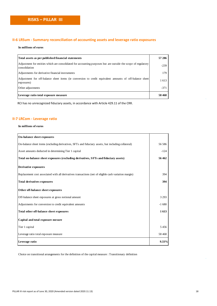## **II-6 LRSum - Summary reconciliation of accounting assets and leverage ratio exposures**

#### **In millions of euros**

| Total assets as per published financial statements                                                                              | 57 286 |
|---------------------------------------------------------------------------------------------------------------------------------|--------|
| Adjustment for entities which are consolidated for accounting purposes but are outside the scope of regulatory<br>consolidation | $-239$ |
| Adjustments for derivative financial instruments                                                                                | 179    |
| Adjustment for off-balance sheet items (ie conversion to credit equivalent amounts of off-balance sheet<br>exposures)           | 1613   |
| Other adjustments                                                                                                               | $-371$ |
| Leverage ratio total exposure measure                                                                                           | 58468  |

RCI has no unrecognized fiduciary assets, in accordance with Article 429.11 of the CRR.

## **II-7 LRCom - Leverage ratio**

#### **In millions of euros**

| On-balance sheet exposures                                                                            |         |
|-------------------------------------------------------------------------------------------------------|---------|
| On-balance sheet items (excluding derivatives, SFTs and fiduciary assets, but including collateral)   | 56 586  |
| Asset amounts deducted in determining Tier 1 capital                                                  | $-124$  |
| Total on-balance sheet exposures (excluding derivatives, SFTs and fiduciary assets)                   | 56 462  |
| <b>Derivative exposures</b>                                                                           |         |
| Replacement cost associated with all derivatives transactions (net of eligible cash variation margin) | 394     |
| Total derivatives exposures                                                                           | 394     |
| Other off-balance sheet exposures                                                                     |         |
| Off-balance sheet exposures at gross notional amount                                                  | 3 2 9 3 |
| Adjustments for conversion to credit equivalent amounts                                               | $-1680$ |
| Total other off-balance sheet exposures                                                               | 1613    |
| Capital and total exposure mesure                                                                     |         |
| Tier 1 capital                                                                                        | 5 4 5 6 |
| Leverage ratio total exposure measure                                                                 | 58 4 68 |
| Leverage ratio                                                                                        | 9.33%   |

Choice on transitional arrangements for the definition of the capital measure : Transitionary definition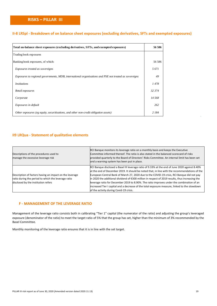## **II-8 LRSpl - Breakdown of on balance sheet exposures (excluding derivatives, SFTs and exempted exposures)**

| Total on-balance sheet exposures (excluding derivatives, SFTs, and exempted exposures)                | 56 586  |
|-------------------------------------------------------------------------------------------------------|---------|
| Trading book exposures                                                                                |         |
| Banking book exposures, of which:                                                                     | 56 586  |
| Exposures treated as sovereigns                                                                       | 5671    |
| Exposures to regional governments, MDB, international organisations and PSE not treated as sovereigns | 49      |
| <i>Institutions</i>                                                                                   | 1478    |
| Retail exposures                                                                                      | 32 374  |
| Corporate                                                                                             | 14 568  |
| Exposures in default                                                                                  | 262     |
| Other exposures (eg equity, securitisations, and other non-credit obligation assets)                  | 2 1 8 4 |

## **II9 LRQua - Statement of qualitative elements**

| Descriptions of the procedures used to<br>manage the excessive leverage risk                                                                          | RCI Banque monitors its leverage ratio on a monthly basis and keeps the Executive<br>Committee informed thereof. The ratio is also stated in the balanced scorecard of risks<br>provided quarterly to the Board of Directors' Risks Committee. An internal limit has been set<br>and a warning system has been put in place.                                                                                                                                                                                                                                                                                                               |
|-------------------------------------------------------------------------------------------------------------------------------------------------------|--------------------------------------------------------------------------------------------------------------------------------------------------------------------------------------------------------------------------------------------------------------------------------------------------------------------------------------------------------------------------------------------------------------------------------------------------------------------------------------------------------------------------------------------------------------------------------------------------------------------------------------------|
| Description of factors having an impact on the leverage<br>ratio during the period to which the leverage ratio<br>disclosed by the institution refers | RCI Banque disclosed a Basel III leverage ratio of 9.33% at the end of June 2020 against 8.40%<br>at the end of December 2019. It should be noted that, in line with the recommendations of the<br>European Central Bank of March 27, 2020 due to the COVID-19 crisis, RCI Banque did not pay<br>lin 2020 the additional dividend of €300 million in respect of 2019 results, thus increasing the<br>leverage ratio for December 2019 to 8.90%. The ratio improves under the combination of an<br>increased Tier I capital and a decrease of the total exposure measure, linked to the slowdown<br>of the activity during Covid-19 crisis. |

## **F - MANAGEMENT OF THE LEVERAGE RATIO**

Management of the leverage ratio consists both in calibrating "Tier 1" capital (the numerator of the ratio) and adjusting the group's leveraged exposure (denominator of the ratio) to meet the target ratio of 5% that the group has set, higher than the minimum of 3% recommended by the Basel Committee.

Monthly monitoring of the leverage ratio ensures that it is in line with the set target.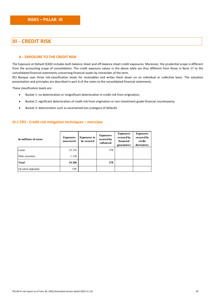## **III - CREDIT RISK**

#### **A - EXPOSURE TO THE CREDIT RISK**

The Exposure at Default (EAD) includes both balance sheet and off-balance sheet credit exposures. Moreover, the prudential scope is different from the accounting scope of consolidation. The credit exposure values in the above table are thus different from those in Note 17 to the consolidated financial statements concerning financial assets by remainder of the term.

RCI Banque uses three risk-classification levels for receivables and writes them down on an individual or collective basis. The valuation presentation and principles are described in part A of the notes to the consolidated financial statements.

These classification levels are:

- Bucket 1: no deterioration or insignificant deterioration in credit risk from origination;
- Bucket 2: significant deterioration of credit risk from origination or non investment grade financial counterparty;
- Bucket 3: deterioration such as ascertained loss (category of default).

| In millions of euros | <b>Exposures</b><br>unsecured | <b>Exposures to</b><br>be secured | <b>Exposures</b><br>secured by<br>collateral | <b>Exposures</b><br>secured by<br>financial<br>guarantees | <b>Exposures</b><br>secured by<br>credit<br>derivatives |
|----------------------|-------------------------------|-----------------------------------|----------------------------------------------|-----------------------------------------------------------|---------------------------------------------------------|
| Loans                | 53 135                        |                                   | 578                                          |                                                           |                                                         |
| Debt securities      | 1 1 3 0                       |                                   |                                              |                                                           |                                                         |
| Total                | 54 266                        |                                   | 578                                          |                                                           |                                                         |
| Of which defaulted   | 739                           |                                   |                                              |                                                           |                                                         |

#### **III-1 CR3 - Credit risk mitigation techniques – overview**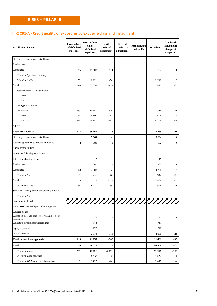## **III-2 CR1-A - Credit quality of exposures by exposure class and instrument**

| In Millions of euros                              | <b>Gross values</b><br>of defaulted<br>exposures | <b>Gross values</b><br>of non-<br>defaulted<br>exposures | Specific<br>credit risk<br>adjustment | General<br>credit risk<br>adjustment | <b>Accumulated</b><br>write-offs                                                   | Net value | Credit risk<br>adjustment<br>charges of<br>the period |
|---------------------------------------------------|--------------------------------------------------|----------------------------------------------------------|---------------------------------------|--------------------------------------|------------------------------------------------------------------------------------|-----------|-------------------------------------------------------|
| Central governments or central banks              |                                                  |                                                          |                                       |                                      |                                                                                    |           |                                                       |
| Institutions                                      |                                                  |                                                          |                                       |                                      |                                                                                    |           |                                                       |
| Corporates                                        | 75                                               | 11 803                                                   | $-114$                                |                                      |                                                                                    | 11764     | $-38$                                                 |
| Of which: Specialised lending                     |                                                  |                                                          |                                       |                                      |                                                                                    |           |                                                       |
| Of which: SMEs                                    | 55                                               | 2633                                                     | $-50$                                 |                                      |                                                                                    | 2639      | -16                                                   |
| Retail                                            | 463                                              | 27 258                                                   | $-625$                                |                                      |                                                                                    | 27 095    | $-81$                                                 |
| Secured by real estate property                   |                                                  |                                                          |                                       |                                      |                                                                                    |           |                                                       |
| <b>SMEs</b>                                       |                                                  |                                                          |                                       |                                      |                                                                                    |           |                                                       |
| Non-SMEs                                          |                                                  |                                                          |                                       |                                      |                                                                                    |           |                                                       |
| Qualifying revolving                              |                                                  |                                                          |                                       |                                      |                                                                                    |           |                                                       |
| Other retail                                      | 463                                              | 27 258                                                   | $-625$                                |                                      |                                                                                    | 27 095    | -81                                                   |
| <b>SMEs</b>                                       | 93                                               | 2836                                                     | $-93$                                 |                                      |                                                                                    | 2 8 3 6   | $-14$                                                 |
| Non-SMEs                                          | 370                                              | 24 421                                                   | $-532$                                |                                      |                                                                                    | 24 25 9   | -67                                                   |
| Equity                                            |                                                  |                                                          |                                       |                                      |                                                                                    |           |                                                       |
| <b>Total IRB approach</b>                         | 537                                              | 39 061                                                   | $-739$                                |                                      |                                                                                    | 38 859    | $-119$                                                |
| Central governments or central banks              | $\mathbf{1}$                                     | 5 6 6 4                                                  | $-1$                                  |                                      |                                                                                    | 5 6 6 4   | $\mathbf{0}$                                          |
| Regional governments or local authorities         | $\overline{\mathbf{c}}$                          | 181                                                      | $\boldsymbol{0}$                      |                                      |                                                                                    | 182       | $\boldsymbol{0}$                                      |
| Public sector entities                            |                                                  |                                                          |                                       |                                      |                                                                                    |           |                                                       |
| Multilateral development banks                    |                                                  |                                                          |                                       |                                      |                                                                                    |           |                                                       |
| International organisations                       |                                                  | 15                                                       |                                       |                                      |                                                                                    | 15        |                                                       |
| Institutions                                      |                                                  | 1580                                                     | $\boldsymbol{0}$                      |                                      |                                                                                    | 1580      | $\boldsymbol{0}$                                      |
| Corporates                                        | 38                                               | 4 3 0 3                                                  | $-51$                                 |                                      |                                                                                    | 4 2 9 0   | 31                                                    |
| Of which: SMEs                                    | 21                                               | 874                                                      | -16                                   |                                      |                                                                                    | 880       | 49                                                    |
| Retail                                            | 173                                              | 7 1 2 5                                                  | $-210$                                |                                      |                                                                                    | 7088      | $-57$                                                 |
| Of which: SMEs                                    | 64                                               | 1928                                                     | $-55$                                 |                                      |                                                                                    | 1937      | $-31$                                                 |
| Secured by mortgages on immovable property        |                                                  |                                                          |                                       |                                      |                                                                                    |           |                                                       |
| Of which: SMEs                                    |                                                  |                                                          |                                       |                                      |                                                                                    |           |                                                       |
| Exposures in default                              |                                                  |                                                          |                                       |                                      | KUUNNINNINSEN INNINNINSEN INNINNINSEN INNINNINSEN INNINNINSEN INNINNINSEN INNINNIN |           |                                                       |
| Items associated with particularly high risk      |                                                  |                                                          |                                       |                                      |                                                                                    |           |                                                       |
| Covered bonds                                     |                                                  |                                                          |                                       |                                      |                                                                                    |           |                                                       |
| Claims on inst. and corporates with a ST credit   |                                                  | 171                                                      | $\boldsymbol{0}$                      |                                      |                                                                                    | 171       | $\boldsymbol{0}$                                      |
| assessment<br>Collective investments undertakings |                                                  | 214                                                      |                                       |                                      |                                                                                    | 214       |                                                       |
| Equity exposures                                  |                                                  | 222                                                      |                                       |                                      |                                                                                    | 222       |                                                       |
| Other exposures                                   |                                                  | 2 1 7 4                                                  | $-119$                                |                                      |                                                                                    | 2056      | -119                                                  |
| <b>Total standardised approach</b>                | 213                                              | 21 650                                                   | $-382$                                |                                      |                                                                                    | 21 481    | $-145$                                                |
| Total                                             | 750                                              | 60711                                                    | $-1121$                               |                                      |                                                                                    | 60 340    | $-265$                                                |
| Of which: Loans                                   | 739                                              | 52 975                                                   | -1 109                                |                                      |                                                                                    | 52 605    | $-259$                                                |
| Of which: Debt securities                         |                                                  | 1 130                                                    | $-2$                                  |                                      |                                                                                    | 1 1 2 8   | $-I$                                                  |
| Of which: Off-balance-sheet exposures             | $\sqrt{2}$                                       | 3 4 8 7                                                  | $-10$                                 |                                      |                                                                                    | 3 481     | $-4$                                                  |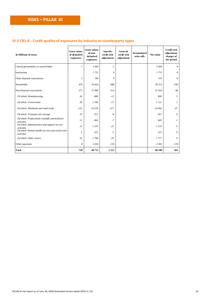## **III-3 CR1-B - Credit quality of exposures by industry or counterparty types**

| In Millions of euros                                           | <b>Gross values</b><br>of defaulted<br>exposures | <b>Gross values</b><br>of non-<br>defaulted<br>exposures | <b>Specific</b><br>credit risk<br>adjustment | General<br>credit risk<br>adjustment | <b>Accumulated</b><br>write-offs | Net value | <b>Credit risk</b><br>adjustment<br>charges of<br>the period |
|----------------------------------------------------------------|--------------------------------------------------|----------------------------------------------------------|----------------------------------------------|--------------------------------------|----------------------------------|-----------|--------------------------------------------------------------|
| Central governments or central banks                           | 1                                                | 5 6 6 4                                                  | $-1$                                         |                                      |                                  | 5 6 6 4   | $\mathbf{0}$                                                 |
| Institutions                                                   |                                                  | 1751                                                     | $\theta$                                     |                                      |                                  | 1751      | $\mathbf{0}$                                                 |
| Other financial corporations                                   | $\overline{2}$                                   | 196                                                      | $\mathbf{0}$                                 |                                      |                                  | 197       | $\mathbf{0}$                                                 |
| Households                                                     | 476                                              | 29 4 24                                                  | $-688$                                       |                                      |                                  | 29 21 2   | $-100$                                                       |
| Non-financial corporations                                     | 271                                              | 21 066                                                   | $-313$                                       |                                      |                                  | 21 024    | $-46$                                                        |
| Of which: Manufacturing                                        | 26                                               | 888                                                      | $-13$                                        |                                      |                                  | 900       | $\mathfrak{Z}$                                               |
| Of which: Construction                                         | 30                                               | 1 108                                                    | $-17$                                        |                                      |                                  | 1 121     | $\mathcal{I}$                                                |
| Of which: Wholesale and retail trade                           | 133                                              | 14 578                                                   | $-217$                                       |                                      |                                  | 14 494    | $-47$                                                        |
| Of which: Transport ans storage                                | 19                                               | 557                                                      | $-8$                                         |                                      |                                  | 567       | $\theta$                                                     |
| Of which: Professional, scientific and technical<br>activities | 12                                               | 464                                                      | $-7$                                         |                                      |                                  | 469       | 2                                                            |
| Of which: Administrative and support service<br>activities     | 15                                               | 1379                                                     | $-21$                                        |                                      |                                  | 1374      | $-5$                                                         |
| Of which: Human health services and social work<br>activities  | $\mathfrak{Z}$                                   | 325                                                      | $-5$                                         |                                      |                                  | 323       | 0                                                            |
| Of which: Other sectors                                        | 34                                               | 1768                                                     | $-25$                                        |                                      |                                  | 1777      | 0                                                            |
| Other exposures                                                | $\mathbf{0}$                                     | 2610                                                     | $-119$                                       |                                      |                                  | 2491      | $-119$                                                       |
| <b>Total</b>                                                   | 750                                              | 60711                                                    | $-1121$                                      |                                      |                                  | 60 340    | $-265$                                                       |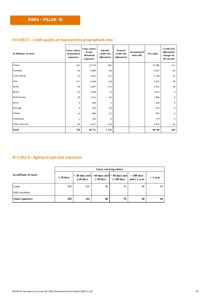## **III-4 CR1-C - Credit quality of exposures by geographical area**

| In Millions of euros | <b>Gross values</b><br>of defaulted<br>exposures | <b>Gross values</b><br>of non-<br>defaulted<br>exposures | <b>Specific</b><br>credit risk<br>adjustment | General<br>credit risk<br>adjustment | <b>Accumulated</b><br>write-offs | Net value | <b>Credit risk</b><br>adjustment<br>charges of<br>the period |
|----------------------|--------------------------------------------------|----------------------------------------------------------|----------------------------------------------|--------------------------------------|----------------------------------|-----------|--------------------------------------------------------------|
| France               | 291                                              | 22 076                                                   | $-381$                                       |                                      |                                  | 21 986    | $-127$                                                       |
| Germany              | 50                                               | 9686                                                     | $-68$                                        |                                      |                                  | 9667      | $-20$                                                        |
| Great-Britain        | 35                                               | 5 9 0 1                                                  | $-147$                                       |                                      |                                  | 5789      | $-25$                                                        |
| Italy                | 111                                              | 6 6 4 0                                                  | $-118$                                       |                                      |                                  | 6 6 3 2   | $-18$                                                        |
| Spain                | 69                                               | 4 607                                                    | $-113$                                       |                                      |                                  | 4 5 6 2   | $-38$                                                        |
| <b>Brazil</b>        | 42                                               | 2 0 4 8                                                  | $-75$                                        |                                      |                                  | 2015      | $-5$                                                         |
| South Korea          | 30                                               | 1813                                                     | $-42$                                        |                                      |                                  | 1800      | $\overline{4}$                                               |
| <b>Swiss</b>         | 6                                                | 928                                                      | $-5$                                         |                                      |                                  | 928       | $\mathbf{0}$                                                 |
| Portugal             | 6                                                | 833                                                      | $-20$                                        |                                      |                                  | 819       | $-6$                                                         |
| Poland               | 14                                               | 960                                                      | $-22$                                        |                                      |                                  | 953       | $-3$                                                         |
| Netherland           | $\overline{2}$                                   | 783                                                      | $-6$                                         |                                      |                                  | 779       | $-3$                                                         |
| Other countries      | 96                                               | 4 4 3 7                                                  | $-124$                                       |                                      |                                  | 4410      | $-24$                                                        |
| <b>Total</b>         | 750                                              | 60711                                                    | $-1121$                                      |                                      |                                  | 60 340    | $-265$                                                       |

## **III-5 CR1-D - Ageing of past-due exposures**

|                        | Gross carrying values |                |                |                                                                          |                                  |           |  |  |  |
|------------------------|-----------------------|----------------|----------------|--------------------------------------------------------------------------|----------------------------------|-----------|--|--|--|
| In millions of euros   | $\leq 30$ days        | $\leq 60$ days | $\leq 90$ days | $>$ 30 days and $ >$ 60 days and $ >$ 90 days and $ $<br>$\leq 180$ days | $>180$ days<br>and $\leq 1$ year | $>1$ year |  |  |  |
| Loans                  | 328                   | 241            | 66             | 78                                                                       | 46                               | 44        |  |  |  |
| Debt securities        |                       |                |                |                                                                          |                                  |           |  |  |  |
| <b>Total exposures</b> | 328                   | 241            | 66             | 78                                                                       | 46                               | 44        |  |  |  |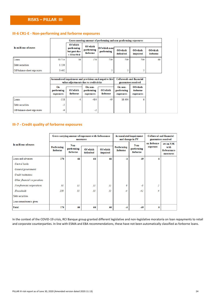## **III-6 CR1-E - Non-performing and forborne exposures**

|                             | Gross carrying amount of performing and non-performing exposures |                                             |                        |                             |                       |                      |                      |  |  |  |
|-----------------------------|------------------------------------------------------------------|---------------------------------------------|------------------------|-----------------------------|-----------------------|----------------------|----------------------|--|--|--|
|                             |                                                                  | Of which                                    | Of which               |                             |                       |                      |                      |  |  |  |
| In millions of euros        |                                                                  | performing<br>but past due<br>$>30$ to 90 d | performing<br>forborne | Of which non-<br>performing | Of which<br>defaulted | Of which<br>impaired | Of which<br>forborne |  |  |  |
| Loans                       | 53 714                                                           | 56                                          | 170                    | 739                         | 739                   | 739                  | 66                   |  |  |  |
| Debt securities             | 1 1 3 0                                                          |                                             |                        |                             |                       |                      |                      |  |  |  |
| Off-balance-sheet exposures | 3 4 9 2                                                          |                                             |                        |                             |                       |                      |                      |  |  |  |

|                             | Accumulated impairment and provisions and negative fair- | value adjustments due to credit risks | <b>Collaterals and financial</b><br>guarantees received |                      |                                    |                                   |
|-----------------------------|----------------------------------------------------------|---------------------------------------|---------------------------------------------------------|----------------------|------------------------------------|-----------------------------------|
|                             | On<br>performing<br>exposures                            | Of which<br>forborne                  | On non-<br>performing<br>exposures                      | Of which<br>forborne | On non-<br>performing<br>exposures | Of which<br>forborne<br>exposures |
| Loans                       | $-518$                                                   | $-4$                                  | -484                                                    | $-49$                | 16 404                             | 6                                 |
| Debt securities             | $-2$                                                     |                                       |                                                         |                      |                                    |                                   |
| Off-balance-sheet exposures | -9                                                       |                                       | $-2$                                                    |                      |                                    |                                   |

## **III-7 - Credit quality of forborne exposures**

|                              |                        | Gross carrying amount of exposures with forbearance | measures              |                      |                               | <b>Accumulated impairment</b><br>and change in FV | <b>Collateral and financial</b><br>guarantees received |                                              |
|------------------------------|------------------------|-----------------------------------------------------|-----------------------|----------------------|-------------------------------|---------------------------------------------------|--------------------------------------------------------|----------------------------------------------|
| In millions of euros         | Performing<br>forborne | Non-<br>performing<br>forborne                      | Of which<br>defaulted | Of which<br>impaired | <b>Performing</b><br>forborne | Non-<br>performing<br>forborne                    | on forborne<br>exposure                                | ow on NPE<br>with<br>forbearance<br>measures |
| Loans and advances           | 170                    | 66                                                  | 66                    | 66                   | $-4$                          | $-49$                                             | 6                                                      |                                              |
| Central banks                |                        |                                                     |                       |                      |                               |                                                   |                                                        |                                              |
| General governments          |                        |                                                     |                       |                      |                               |                                                   |                                                        |                                              |
| Credit institutions          |                        |                                                     |                       |                      |                               |                                                   |                                                        |                                              |
| Other financial corporations |                        |                                                     |                       |                      |                               |                                                   |                                                        |                                              |
| Non-financial corporations   | 31                     | 11                                                  | $_{II}$               | 11                   | 0                             | $-8$                                              | $\overline{2}$                                         |                                              |
| Households                   | 139                    | 55                                                  | 55                    | 55                   | $-4$                          | $-41$                                             | 4                                                      |                                              |
| Debt securities              |                        |                                                     |                       |                      |                               |                                                   |                                                        |                                              |
| Loan commitments given       |                        |                                                     |                       |                      |                               |                                                   |                                                        |                                              |
| <b>Total</b>                 | 170                    | 66                                                  | 66                    | 66                   | $-4$                          | $-49$                                             | 6                                                      |                                              |

In the context of the COVID-19 crisis, RCI Banque group granted different legislative and non-legislative moratoria on loan repayments to retail and corporate counterparties. In line with ESMA and EBA recommendations, these have not been automatically classified as forborne loans.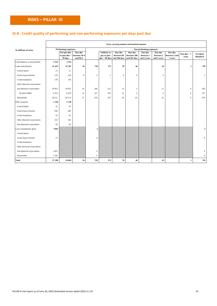## **III-8 - Credit quality of performing and non-performing exposures per days past due**

|                                |         |                                            | Gross carrying amount and nominal amount |                       |                                               |                                        |                                         |                                      |                                      |                                      |                        |                       |  |
|--------------------------------|---------|--------------------------------------------|------------------------------------------|-----------------------|-----------------------------------------------|----------------------------------------|-----------------------------------------|--------------------------------------|--------------------------------------|--------------------------------------|------------------------|-----------------------|--|
| In millions of euros           |         | <b>Performing exposures</b>                |                                          |                       |                                               |                                        |                                         | Non-performing exposures             |                                      |                                      |                        |                       |  |
|                                |         | Not past due<br>or past due $<$<br>30 days | Past due<br>beetwen 30 d<br>and 90 d     |                       | Unlikely to<br>pay or past<br>$due < 90$ days | Past due<br>beetwen 90<br>and 180 days | Past due<br>beetwen 180<br>and 365 days | Past due<br>beetwen 1<br>and 2 years | Past due<br>beetwen 2<br>and 5 years | Past due<br>beetwen 5 and<br>7 years | Past due $>7$<br>years | Of which<br>defaulted |  |
| Cash balances at central banks | 5 5 5 2 | 5 5 5 2                                    |                                          |                       |                                               |                                        |                                         |                                      |                                      |                                      |                        |                       |  |
| Loans and advances             | 47 423  | 47 367                                     | 56                                       | 739                   | 571                                           | 78                                     | 46                                      |                                      | 43                                   |                                      | $\mathbf 1$            | 739                   |  |
| Central banks                  | 21      | 21                                         |                                          |                       |                                               |                                        |                                         |                                      |                                      |                                      |                        |                       |  |
| General governments            | 120     | 120                                        | $\theta$                                 | $\sqrt{2}$            | $\overline{c}$                                | $\boldsymbol{0}$                       | $\theta$                                |                                      | $\theta$                             |                                      |                        | 2                     |  |
| Credit institutions            | 178     | 178                                        |                                          |                       |                                               |                                        |                                         |                                      |                                      |                                      |                        |                       |  |
| Other financial corporations   |         |                                            |                                          |                       |                                               |                                        |                                         |                                      |                                      |                                      |                        |                       |  |
| Non-financial corporations     | 18 953  | 18933                                      | 20                                       | 260                   | 222                                           | 23                                     | $\mathfrak{Z}$                          |                                      | $_{II}$                              |                                      | $\boldsymbol{\theta}$  | 260                   |  |
| Of which SMEs                  | 8 2 5 3 | 8239                                       | 14                                       | 227                   | 192                                           | 22                                     | $\mathfrak{Z}$                          |                                      | 9                                    |                                      | $\theta$               | 227                   |  |
| Households                     | 28 15 1 | 28 114                                     | 37                                       | 476                   | 347                                           | 54                                     | 43                                      |                                      | 32                                   |                                      | $\theta$               | 476                   |  |
| Debt securities                | 1 1 3 0 | 1 1 3 0                                    |                                          |                       |                                               |                                        |                                         |                                      |                                      |                                      |                        |                       |  |
| Central banks                  | 97      | 97                                         |                                          |                       |                                               |                                        |                                         |                                      |                                      |                                      |                        |                       |  |
| General governments            | 696     | 696                                        |                                          |                       |                                               |                                        |                                         |                                      |                                      |                                      |                        |                       |  |
| Credit institutions            | 91      | 91                                         |                                          |                       |                                               |                                        |                                         |                                      |                                      |                                      |                        |                       |  |
| Other financial corporations   | 163     | 163                                        |                                          |                       |                                               |                                        |                                         |                                      |                                      |                                      |                        |                       |  |
| Non-financial corporations     | 83      | 83                                         |                                          |                       |                                               |                                        |                                         |                                      |                                      |                                      |                        |                       |  |
| Loan commitments given         | 3 0 9 3 |                                            |                                          | 5                     |                                               |                                        |                                         |                                      |                                      |                                      |                        | 5                     |  |
| Central banks                  |         |                                            |                                          |                       |                                               |                                        |                                         |                                      |                                      |                                      |                        |                       |  |
| General governments            | 27      |                                            |                                          | $\boldsymbol{\theta}$ |                                               |                                        |                                         |                                      |                                      |                                      |                        | 0                     |  |
| Credit institutions            |         |                                            |                                          |                       |                                               |                                        |                                         |                                      |                                      |                                      |                        |                       |  |
| Other financial corporations   |         |                                            |                                          |                       |                                               |                                        |                                         |                                      |                                      |                                      |                        |                       |  |
| Non-financial corporations     | 1823    |                                            |                                          | $\boldsymbol{A}$      |                                               |                                        |                                         |                                      |                                      |                                      |                        |                       |  |
| Households                     | 1244    |                                            |                                          | 0                     |                                               |                                        |                                         |                                      |                                      |                                      |                        | $\boldsymbol{\theta}$ |  |
| <b>Total</b>                   | 57 198  | 54 049                                     | 56                                       | 743                   | 571                                           | 78                                     | 46                                      |                                      | 43                                   |                                      | $\mathbf{1}$           | 743                   |  |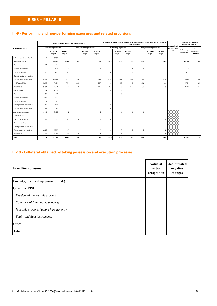| Gross carrying amount and nominal amount |         |                             |                     |                |                          |                     |          |                             |                     | and provisions   | Accumulated impairment, accumulated negative changes in fair value due to credit risk |                     | Accumulated    | <b>Collateral and financial</b> | guarantees received     |
|------------------------------------------|---------|-----------------------------|---------------------|----------------|--------------------------|---------------------|----------|-----------------------------|---------------------|------------------|---------------------------------------------------------------------------------------|---------------------|----------------|---------------------------------|-------------------------|
| In millions of euros                     |         | <b>Performing exposures</b> |                     |                | Non-performing exposures |                     |          | <b>Performing exposures</b> |                     |                  | Non-performing exposures                                                              |                     | partial write- |                                 | Non-                    |
|                                          |         | Of which<br>stage 1         | Of which<br>stage 2 |                | Of which<br>stage 2      | Of which<br>stage 3 |          | Of which<br>stage 1         | Of which<br>stage 2 |                  | Of which<br>stage 2                                                                   | Of which<br>stage 3 | off            | Performing<br>exposures         | performing<br>exposures |
| Cash balances at central banks           | 5 5 5 2 | 5552                        |                     |                |                          |                     |          |                             |                     |                  |                                                                                       |                     |                |                                 |                         |
| Loans and advances                       | 47 423  | 43 980                      | 3 4 4 3             | 739            |                          | 739                 | $-518$   | $-275$                      | $-243$              | $-484$           |                                                                                       | $-484$              |                | 16 312                          | 92                      |
| Central banks                            | 21      | 21                          |                     |                |                          |                     |          |                             |                     |                  |                                                                                       |                     |                |                                 |                         |
| General governments                      | 120     | 103                         | 18                  | $\overline{2}$ |                          | $\overline{z}$      | $-2$     | $\theta$                    | $-I$                | $-I$             |                                                                                       | $\cdot$ I           |                | $\mathcal{R}$                   |                         |
| <b>Credit institutions</b>               | 178     | 117                         | 60                  |                |                          |                     | $\theta$ | $\theta$                    | $\theta$            |                  |                                                                                       |                     |                | 177                             |                         |
| Other financial corporations             |         |                             |                     |                |                          |                     |          |                             |                     |                  |                                                                                       |                     |                |                                 |                         |
| Non-financial corporations               | 18953   | 17730                       | 1 2 2 3             | 260            |                          | 260                 | $-164$   | $-101$                      | $-62$               | $-148$           |                                                                                       | $-148$              |                | 12 349                          | 56                      |
| Of which SMEs                            | 8253    | 7483                        | 770                 | 227            |                          | 227                 | $-81$    | $-35$                       | $-46$               | $-131$           |                                                                                       | $-131$              |                | 1762                            | 43                      |
| Households                               | 28 15 1 | 26 009                      | 2 142               | 476            |                          | 476                 | $-353$   | $-173$                      | $-179$              | $-335$           |                                                                                       | $-335$              |                | 3 7 8 3                         | 35                      |
| Debt securities                          | 1 1 3 0 | 1 1 3 0                     |                     |                |                          |                     | $-2$     | $-2$                        |                     |                  |                                                                                       |                     |                |                                 |                         |
| Central banks                            | 97      | 97                          |                     |                |                          |                     | $\theta$ | $\theta$                    |                     |                  |                                                                                       |                     |                |                                 |                         |
| General governments                      | 696     | 696                         |                     |                |                          |                     | $-2$     | $-2$                        |                     |                  |                                                                                       |                     |                |                                 |                         |
| <b>Credit institutions</b>               | 91      | 91                          |                     |                |                          |                     |          |                             |                     |                  |                                                                                       |                     |                |                                 |                         |
| Other financial corporations             | 163     | 163                         |                     |                |                          |                     | $\theta$ | $\theta$                    |                     |                  |                                                                                       |                     |                |                                 |                         |
| Non-financial corporations               | 83      | 83                          |                     |                |                          |                     | $\theta$ | $\theta$                    |                     |                  |                                                                                       |                     |                |                                 |                         |
| Loan commitments given                   | 3 0 9 3 | 3085                        | 8                   | 5              |                          | 5                   | -8       | -8                          | $\theta$            | $-2$             |                                                                                       | -2                  |                |                                 |                         |
| Central banks                            |         |                             |                     |                |                          |                     |          |                             |                     |                  |                                                                                       |                     |                |                                 |                         |
| General governments                      | 27      | 27                          | $\theta$            | $\Omega$       |                          | $\Omega$            | $\theta$ | $\theta$                    |                     | $\theta$         |                                                                                       | $\theta$            |                |                                 |                         |
| <b>Credit institutions</b>               |         |                             |                     |                |                          |                     |          |                             |                     |                  |                                                                                       |                     |                |                                 |                         |
| Other financial corporations             |         |                             |                     |                |                          |                     |          |                             |                     |                  |                                                                                       |                     |                |                                 |                         |
| Non-financial corporations               | 1823    | 1815                        | $\overline{7}$      |                |                          |                     | $-7$     | $-7$                        | $\theta$            | $-2$             |                                                                                       | $-2$                |                |                                 |                         |
| Households                               | 1244    | 1243                        | $\theta$            | $\theta$       |                          | $\Omega$            | $-I$     | $-I$                        | $\theta$            | $\boldsymbol{o}$ |                                                                                       | $\theta$            |                |                                 |                         |
| Total                                    | 57 198  | 53 747                      | 3 4 5 1             | 743            |                          | 743                 | $-528$   | $-285$                      | $-243$              | $-486$           |                                                                                       | $-486$              |                | 16 312                          | 92                      |

## **III-10 - Collateral obtained by taking possession and execution processes**

| In millions of euros                    | Value at<br>initial<br>recognition | Accumulated<br>negative<br>changes |
|-----------------------------------------|------------------------------------|------------------------------------|
| Property, plant and equipment (PP&E)    |                                    |                                    |
| Other than PP&E                         |                                    |                                    |
| Residential immovable property          |                                    |                                    |
| Commercial Immovable property           |                                    |                                    |
| Movable property (auto, shipping, etc.) |                                    |                                    |
| Equity and debt instruments             |                                    |                                    |
| Other                                   |                                    |                                    |
| <b>Total</b>                            |                                    |                                    |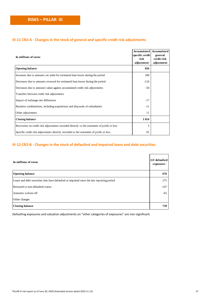## **III-11 CR2-A - Changes in the stock of general and specific credit risk adjustments**

| In millions of euros                                                                       | specific credit<br>risk | <b>Accumulated   Accumulated</b><br>general<br>credit risk |
|--------------------------------------------------------------------------------------------|-------------------------|------------------------------------------------------------|
|                                                                                            | adjustment              | adjustment                                                 |
| <b>Opening balance</b>                                                                     | 856                     |                                                            |
| Increases due to amounts set aside for estimated loan losses during the period             | 349                     |                                                            |
| Decreases due to amounts reversed for estimated loan losses during the period              | $-124$                  |                                                            |
| Decreases due to amounts taken against accumulated credit risk adjustments                 | $-50$                   |                                                            |
| Transfers between credit risk adjustments                                                  |                         |                                                            |
| Impact of exchange rate differences                                                        | $-17$                   |                                                            |
| Business combinations, including acquisitions and disposals of subsidiaries                | $-11$                   |                                                            |
| Other adjustments                                                                          | 11                      |                                                            |
| <b>Closing balance</b>                                                                     | 1014                    |                                                            |
| Recoveries on credit risk adjustments recorded directly to the statement of profit or loss | 5                       |                                                            |
| Specific credit risk adjustments directly recorded to the statement of profit or loss      | 65                      |                                                            |

## **III-12 CR2-B - Changes in the stock of defaulted and impaired loans and debt securities**

| In millions of euros                                                                      | <b>GV</b> defaulted<br>exposures |
|-------------------------------------------------------------------------------------------|----------------------------------|
| <b>Opening balance</b>                                                                    | 676                              |
| Loans and debt securities that have defaulted or impaired since the last reporting period | 275                              |
| Returned to non-defaulted status                                                          | $-147$                           |
| Amounts written off                                                                       | $-65$                            |
| Other changes                                                                             |                                  |
| <b>Closing balance</b>                                                                    | 739                              |

Defaulting exposures and valuation adjustments on "other categories of exposures" are non-significant.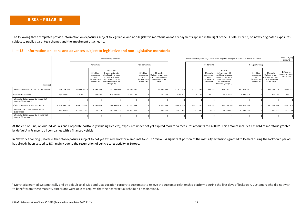The following three templates provide information on exposures subject to legislative and non-legislative moratoria on loan repayments applied in the light of the COVID-19 crisis, on newly originated exposures subject to public guarantee schemes and the impairment attached to.

### **III – 13 - Information on loans and advances subject to legislative and non-legislative moratoria**

|                                                               | Gross carrying amount |               |                                                           |                                                                                                                                             |            |                                                           |                                                                                       |               | Accumulated impairment, accumulated negative changes in fair value due to credit risk |                                                           |                                                                                                                                               |                |                                                           |                                                                                         | Gross carrying<br>amount                  |
|---------------------------------------------------------------|-----------------------|---------------|-----------------------------------------------------------|---------------------------------------------------------------------------------------------------------------------------------------------|------------|-----------------------------------------------------------|---------------------------------------------------------------------------------------|---------------|---------------------------------------------------------------------------------------|-----------------------------------------------------------|-----------------------------------------------------------------------------------------------------------------------------------------------|----------------|-----------------------------------------------------------|-----------------------------------------------------------------------------------------|-------------------------------------------|
|                                                               |                       | Performing    |                                                           | Non performing                                                                                                                              |            |                                                           |                                                                                       | Performing    |                                                                                       |                                                           |                                                                                                                                               | Non performing |                                                           |                                                                                         |                                           |
| (in euros)                                                    |                       |               | Of which:<br>exposures<br>with<br>forbearance<br>measures | Of which:<br>Instruments with<br>significant increase<br>in credit risk since<br>nitial recognition but<br>not credit-impaired<br>(Stage 2) |            | Of which:<br>exposures<br>with<br>forbearance<br>measures | Of which:<br>Unlikely to pay that<br>are not past-due or<br>$past$ -due <= 90<br>davs |               |                                                                                       | Of which:<br>exposures<br>with<br>forbearance<br>measures | Of which:<br>Instruments with<br>significant increase<br>in credit risk since<br>initial recognition<br>but not credit-<br>impaired (Stage 2) |                | Of which:<br>exposures<br>with<br>forbearance<br>measures | Of which:<br>Unlikely to pay<br>that are not past-<br>due or past-due<br>$\leq$ 90 days | Inflows to<br>non-performing<br>exposures |
| Loans and advances subject to moratorium                      | 5 537 129 705         | 5 488 436 338 | 1 791 555                                                 | 685 438 008                                                                                                                                 | 48 693 367 |                                                           | 40 723 090                                                                            | $-77625258$   | $-61$ 315 391                                                                         | $-53792$                                                  | $-31$ 167 752                                                                                                                                 | $-16309867$    |                                                           | $-14$ 179 170                                                                           | 36 899 363                                |
| of which: Households                                          | 684 738 975           | 681 081 27    | 643 507                                                   | 173 499 985                                                                                                                                 | 3 657 698  |                                                           | 939 682                                                                               | $-18$ 190 422 | $-16$ 742 063                                                                         | $-28225$                                                  | $-13014448$                                                                                                                                   | $-1448359$     |                                                           | $-407584$                                                                               | 2 894 229                                 |
| of which: Collateralised by residential<br>immovable property |                       |               |                                                           |                                                                                                                                             |            |                                                           |                                                                                       |               |                                                                                       |                                                           |                                                                                                                                               |                |                                                           |                                                                                         |                                           |
| of which: Non-financial corporations                          | 4 852 390 730         | 4 807 355 061 | 1 148 048                                                 | 511 938 023                                                                                                                                 | 45 035 669 |                                                           | 39 783 408                                                                            | -59 434 836   | -44 573 328                                                                           | $-255567$                                                 | $-18$ 153 304                                                                                                                                 | $-14861508$    |                                                           | $-13771586$                                                                             | 34 005 134                                |
| of which: Small and Medium-sized<br>Enterprises               | 2 177 944 861         | 2 146 514 933 | 14 14 9                                                   | 252 388 314                                                                                                                                 | 31 429 928 |                                                           | 27 867 637                                                                            | -36 813 501   | $-26$ 172 157                                                                         | $-5438$                                                   | $-11$ 389 667                                                                                                                                 | $-10641344$    |                                                           | -9 820 711                                                                              | 28 037 248                                |
| of which: Collateralised by commercial<br>immovable property  |                       |               |                                                           |                                                                                                                                             |            |                                                           |                                                                                       |               |                                                                                       |                                                           |                                                                                                                                               |                |                                                           |                                                                                         |                                           |

At the end of June, on our Individuals and Corporate portfolio (excluding Dealers), exposures under not yet expired moratoria measures amounts to €4200M. This amount includes €3118M of moratoria granted by default<sup>2</sup> in France to all companies with a financed vehicle.

In Network financing (Dealers), the total exposures subject to not yet expired moratoria amounts to €1337 million. A significant portion of the maturity extensions granted to Dealers during the lockdown period has already been settled to RCI, mainly due to the resumption of vehicle sales activity in Europe.

<sup>&</sup>lt;sup>2</sup> Moratoria granted systematically and by default to all Diac and Diac Location corporate customers to relieve the customer relationship platforms during the first days of lockdown. Customers who did not wish to benefit from these maturity extensions were able to request that their contractual schedule be maintained.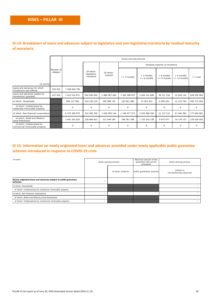## **III-14- Breakdown of loans and advances subject to legislative and non-legislative moratoria by residual maturity of moratoria**

|                                                               |                       |               | Gross carrying amount                 |                      |                                |                                |                               |                                  |             |  |  |  |  |
|---------------------------------------------------------------|-----------------------|---------------|---------------------------------------|----------------------|--------------------------------|--------------------------------|-------------------------------|----------------------------------|-------------|--|--|--|--|
|                                                               |                       |               |                                       |                      | Residual maturity of moratoria |                                |                               |                                  |             |  |  |  |  |
|                                                               | Number of<br>obligors |               | Of which:<br>legislative<br>moratoria | Of which:<br>expired | $\leq$ 3 months                | $> 3$ months<br>$<$ = 6 months | > 6 months<br>$\leq$ 9 months | > 9 months<br>$\leq$ = 12 months | $> 1$ year  |  |  |  |  |
| (in euros)                                                    |                       |               |                                       |                      |                                |                                |                               |                                  |             |  |  |  |  |
| Loans and advances for which<br>moratorium was offered        | 256 053               | 7 638 904 790 |                                       |                      |                                |                                |                               |                                  |             |  |  |  |  |
| Loans and advances subject to<br>moratorium (granted)         | 247 929               | 7 423 516 971 | 942 082 605                           | 1 886 387 266        | 1 383 298 957                  | 3 464 142 689                  | 28 131 332                    | 33 200 142                       | 628 356 585 |  |  |  |  |
| of which: Households                                          |                       | 944 127 096   | 610 100 210                           | 259 388 122          | 183 821 686                    | 31 053 423                     | 6 994 201                     | 12 153 760                       | 450 715 904 |  |  |  |  |
| of which: Collateralised by<br>residential immovable property |                       | $\mathbf 0$   | $\mathbf 0$                           | $\mathbf 0$          | 0                              | 0                              | 0                             | 0                                | $\mathbf 0$ |  |  |  |  |
| of which: Non-financial corporations                          |                       | 6 479 389 875 | 331 982 395                           | 1 626 999 144        | 1 199 477 271                  | 3 433 089 266                  | 21 137 131                    | 21 046 382                       | 177 640 681 |  |  |  |  |
| of which: Small and Medium-<br>sized Enterprises              |                       | 2 491 293 025 | 230 880 821                           | 313 348 164          | 298 361 296                    | 1 725 203 158                  | 8 672 677                     | 16 178 137                       | 129 529 593 |  |  |  |  |
| of which: Collateralised by<br>commercial immovable property  |                       | $\Omega$      | $\Omega$                              | $\mathbf 0$          | 0                              | 0                              | $\Omega$                      | 0                                | $\mathbf 0$ |  |  |  |  |

## **III-15- Information on newly originated loans and advances provided under newly applicable public guarantee schemes introduced in response to COVID-19 crisis**

| In euros                                                                   | Gross carrying amount | Maximum amount of the<br>guarantee that can be<br>considered | Gross carrying amount                  |
|----------------------------------------------------------------------------|-----------------------|--------------------------------------------------------------|----------------------------------------|
|                                                                            | of which: forborne    | Public quarantees received                                   | Inflows to<br>non-performing exposures |
| Newly originated loans and advances subject to public guarantee<br>schemes |                       | ۰                                                            |                                        |
| of which: Households                                                       |                       |                                                              |                                        |
| of which: Collateralised by residential immovable property                 |                       |                                                              |                                        |
| of which: Non-financial corporations                                       |                       | ٠                                                            |                                        |
| of which: Small and Medium-sized Enterprises                               |                       |                                                              |                                        |
| of which: Collateralised by commercial immovable property                  |                       |                                                              |                                        |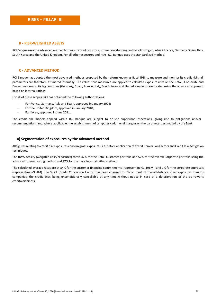#### **B - RISK-WEIGHTED ASSETS**

RCI Banque uses the advanced method to measure credit risk for customer outstandings in the following countries: France, Germany, Spain, Italy, South Korea and the United Kingdom. For all other exposures and risks, RCI Banque uses the standardized method.

#### **C - ADVANCED METHOD**

RCI Banque has adopted the most advanced methods proposed by the reform known as Basel II/III to measure and monitor its credit risks, all parameters are therefore estimated internally. The values thus measured are applied to calculate exposure risks on the Retail, Corporate and Dealer customers. Six big countries (Germany, Spain, France, Italy, South Korea and United Kingdom) are treated using the advanced approach based on internal ratings.

For all of these scopes, RCI has obtained the following authorizations:

- For France, Germany, Italy and Spain, approved in January 2008;
- For the United Kingdom, approved in January 2010;
- For Korea, approved in June 2011.

The credit risk models applied within RCI Banque are subject to on-site supervisor inspections, giving rise to obligations and/or recommendations and, where applicable, the establishment of temporary additional margins on the parameters estimated by the Bank.

#### **a) Segmentation of exposures by the advanced method**

All figures relating to credit risk exposures concern gross exposures, i.e. before application of Credit Conversion Factors and Credit Risk Mitigation techniques.

The RWA density (weighted risks/exposures) totals 47% for the Retail Customer portfolio and 57% for the overall Corporate portfolio using the advanced internal rating method and 87% for the basic internal rating method.

The calculated average rates are at 84% for the customer financing commitments (representing €1,196M), and 1% for the corporate approvals (representing €984M). The %CCF (Credit Conversion Factor) has been changed to 0% on most of the off-balance sheet exposures towards companies, the credit lines being unconditionally cancellable at any time without notice in case of a deterioration of the borrower's creditworthiness.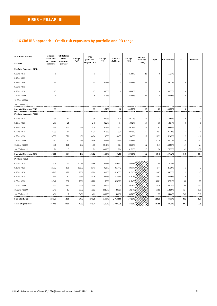## **III-16 CR6 IRB approach – Credit risk exposures by portfolio and PD range**

| In Millions of euros             | Original<br>on-balance<br>sheet gross | Off-balance<br>sheet<br>exposures | Average<br><b>CCF</b> | EAD<br>post CRM | Average<br>PD | Number<br>of obligors | Average<br>LGD | Average<br>maturity | <b>RWA</b>       | <b>RWA</b> density | EL               | <b>Provisions</b> |
|----------------------------------|---------------------------------------|-----------------------------------|-----------------------|-----------------|---------------|-----------------------|----------------|---------------------|------------------|--------------------|------------------|-------------------|
| PD scale                         | exposure                              | pre CCF                           |                       | and post-CCF    |               |                       |                | (Years)             |                  |                    |                  |                   |
| <b>Portfolio Corporates FIRB</b> |                                       |                                   |                       |                 |               |                       |                |                     |                  |                    |                  |                   |
| $0.00$ to $< 0.15$               | $\overline{1}$                        |                                   |                       | $\mathbf{1}$    |               | $\mathbf{1}$          | 45,00%         | 2,5                 | $\boldsymbol{0}$ | 15,27%             |                  |                   |
| $0.15$ to $< 0.25$               |                                       |                                   |                       |                 |               |                       |                |                     |                  |                    |                  |                   |
| $0.25$ to $< 0.50$               | 11                                    |                                   |                       | 11              | 0,35%         | 3                     | 45,00%         | 2,5                 | $\overline{7}$   | 62,27%             | $\boldsymbol{0}$ |                   |
| $0.50$ to $< 0.75$               |                                       |                                   |                       |                 |               |                       |                |                     |                  |                    |                  |                   |
| $0.75$ to $< 2.50$               | 15                                    |                                   |                       | 15              | 0,83%         | 6                     | 45,00%         | 2,5                 | 14               | 90,75%             | $\boldsymbol{0}$ |                   |
| 2.50 to $<$ 10.00                | 6                                     |                                   |                       | 6               | 3,29%         | 2                     | 45,00%         | 2,5                 | 8                | 139,59%            | $\overline{0}$   |                   |
| 10.00 to $<\!\!100.00$           |                                       |                                   |                       |                 |               |                       |                |                     |                  |                    |                  |                   |
| 100.00 (Default)                 |                                       |                                   |                       |                 |               |                       |                |                     |                  |                    |                  |                   |
| <b>Sub-total Corporate FIRB</b>  | 33                                    |                                   |                       | 33              | 1,07%         | 12                    | 45,00%         | 2,5                 | 29               | 86,86%             | $\bf{0}$         |                   |
| <b>Portfolio Corporates AIRB</b> |                                       |                                   |                       |                 |               |                       |                |                     |                  |                    |                  |                   |
| $0.00$ to $< 0.15$               | 238                                   | 60                                |                       | 238             | 0,03%         | 474                   | 40,77%         | 1,5                 | 23               | 9,65%              | $\boldsymbol{0}$ | $\boldsymbol{0}$  |
| $0.15$ to $< 0.25$               | 250                                   | 21                                |                       | 240             | 0,22%         | 54                    | 19,72%         | 1,1                 | 30               | 12,34%             | $\overline{0}$   | $\mathbf{0}$      |
| $0.25$ to $< 0.50$               | 469                                   | 107                               | 1%                    | 470             | 0,36%         | 432                   | 39,78%         | 1,4                 | 207              | 44,04%             | $\mathbf{1}$     | $-1$              |
| $0.50$ to $< 0.75$               | 3 0 5 9                               | 64                                |                       | 2731            | 0,75%         | 534                   | 22,45%         | 1,1                 | 851              | 31,18%             | $\overline{4}$   | $-4$              |
| $0.75$ to $< 2.50$               | 3 5 3 0                               | 376                               | 1%                    | 3 4 9 4         | 1,65%         | 4455                  | 28,45%         | 1,2                 | 1839             | 52,62%             | 15               | $-16$             |
| $2.50$ to $<$ 10.00              | 2752                                  | 252                               | 1%                    | 2636            | 6,09%         | 2540                  | 27,89%         | 1,2                 | 2 1 2 9          | 80,77%             | 39               | $-31$             |
| 10.00 to $<$ 100.00              | 491                                   | 101                               | 0%                    | 491             | 22,40%        | 574                   | 34,36%         | 1,2                 | 741              | 150,96%            | 41               | $-24$             |
| 100.00 (Default)                 | 71                                    | 3                                 |                       | 71              | 100,00%       | 204                   | 81,29%         | 1,3                 | 126              | 176,33%            | 49               | $-39$             |
| <b>Sub-total Corporate AIRB</b>  | 10 861                                | 984                               | $1\%$                 | 10 372          | 4,07%         | 9 2 6 7               | 27,97%         | 1,2                 | 5945             | 57,32%             | 149              | $-114$            |
| <b>Portfolio Retail</b>          |                                       |                                   |                       |                 |               |                       |                |                     |                  |                    |                  |                   |
| $0.00$ to $< 0.15$               | 1926                                  | 240                               | 100%                  | 2 1 6 6         | 0,09%         | 430 507               | 54,08%         |                     | 285              | 13,14%             | $\mathbf{1}$     | $-1$              |
| $0.15$ to $< 0.25$               | 2 3 5 2                               | 196                               | 100%                  | 2 5 4 7         | 0,21%         | 361 442               | 49,17%         |                     | 544              | 21,36%             | 3                | $-2$              |
| $0.25$ to $< 0.50$               | 3918                                  | 179                               | 98%                   | 4 0 9 4         | 0,40%         | 419 577               | 51,79%         |                     | 1 4 0 2          | 34,25%             | 9                | $-7$              |
| $0.50$ to $< 0.75$               | 4 1 1 4                               | 62                                | 99%                   | 4 1 7 6         | 0,54%         | 318 565               | 41,82%         |                     | 1 4 0 3          | 33,59%             | 10               | $-11$             |
| $0.75$ to $< 2.50$               | 9 9 4 2                               | 392                               | 73%                   | 10 2 26         | 1,29%         | 828 989               | 51,24%         |                     | 5881             | 57,51%             | 68               | $-85$             |
| 2.50 to $<$ 10.00                | 2 7 6 7                               | 112                               | 35%                   | 2806            | 4,84%         | 211 319               | 48,18%         |                     | 1958             | 69,79%             | 66               | $-63$             |
| 10.00 to $<$ 100.00              | 1 0 45                                | 13                                | 59%                   | 1053            | 24,83%        | 88 971                | 50,54%         |                     | 1 1 9 5          | 113,50%            | 134              | $-139$            |
| 100.00 (Default)                 | 461                                   | 2                                 | 34%                   | 461             | 100,00%       | 54 690                | 80,28%         |                     | 157              | 34,04%             | 362              | $-318$            |
| <b>Sub-total Retail</b>          | 26 5 25                               | 1 1 9 6                           | 84%                   | 27 529          | 3,77%         | 2714 060              | 50,07%         |                     | 12825            | 46,59%             | 652              | $-625$            |
| Total (all portfolios)           | 37 418                                | 2 1 8 0                           | 46%                   | 37934           | 3,85%         | 2723339               | 44,03%         |                     | 18799            | 49,56%             | 802              | -739              |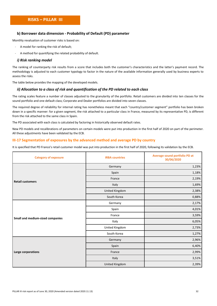## **b) Borrower data dimension - Probability of Default (PD) parameter**

Monthly revaluation of customer risks is based on:

- A model for ranking the risk of default;
- A method for quantifying the related probability of default.

## *i) Risk ranking model*

The ranking of counterparty risk results from a score that includes both the customer's characteristics and the latter's payment record. The methodology is adjusted to each customer typology to factor in the nature of the available information generally used by business experts to assess the risks.

The table below provides the mapping of the developed models.

## *ii) Allocation to a class of risk and quantification of the PD related to each class*

The rating scales feature a number of classes adjusted to the granularity of the portfolio. Retail customers are divided into ten classes for the sound portfolio and one default class; Corporate and Dealer portfolios are divided into seven classes.

The required degree of reliability for internal rating has nonetheless meant that each "country/customer segment" portfolio has been broken down in a specific manner: for a given segment, the risk attached to a particular class in France, measured by its representative PD, is different from the risk attached to the same class in Spain.

The PD associated with each class is calculated by factoring in historically observed default rates.

New PD models and recalibrations of parameters on certain models were put into production in the first half of 2020 on part of the perimeter. All these adjustments have been validated by the ECB.

## **III-17 Segmentation of exposures by the advanced method and average PD by country**

It is specified that PD France's retail customer model was put into production in the first half of 2020, following its validation by the ECB.

| <b>Category of exposure</b>      | <b>IRBA countries</b> | Average sound portfolio PD at<br>30/06/2020 |  |  |
|----------------------------------|-----------------------|---------------------------------------------|--|--|
|                                  | Germany               | 1,23%                                       |  |  |
|                                  | Spain                 | 1,18%                                       |  |  |
| <b>Retail customers</b>          | France                | 2,19%                                       |  |  |
|                                  | Italy                 | 1,69%                                       |  |  |
|                                  | United Kingdom        | 2,38%                                       |  |  |
|                                  | South Korea           | 0,88%                                       |  |  |
|                                  | Germany               | 2,17%                                       |  |  |
|                                  | Spain                 | 4,01%                                       |  |  |
| Small and medium-sized companies | France                | 3,59%                                       |  |  |
|                                  | Italy                 | 6,05%                                       |  |  |
|                                  | United Kingdom        | 2,73%                                       |  |  |
|                                  | South Korea           | 1,27%                                       |  |  |
|                                  | Germany               | 2,96%                                       |  |  |
|                                  | Spain                 | 6,40%                                       |  |  |
| Large corporations               | France                | 2,99%                                       |  |  |
|                                  | Italy                 | 3,51%                                       |  |  |
|                                  | United Kingdom        | 2,39%                                       |  |  |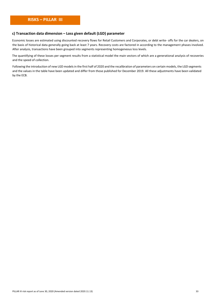## **c) Transaction data dimension – Loss given default (LGD) parameter**

Economic losses are estimated using discounted recovery flows for Retail Customers and Corporates, or debt write- offs for the car dealers, on the basis of historical data generally going back at least 7 years. Recovery costs are factored in according to the management phases involved. After analysis, transactions have been grouped into segments representing homogeneous loss levels.

The quantifying of these losses per segment results from a statistical model the main vectors of which are a generational analysis of recoveries and the speed of collection.

Following the introduction of new LGD models in the first half of 2020 and the recalibration of parameters on certain models, the LGD segments and the values in the table have been updated and differ from those published for December 2019. All these adjustments have been validated by the ECB.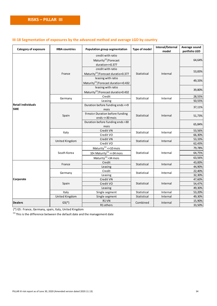## **III-18 Segmentation of exposures by the advanced method and average LGD by country**

| <b>Category of exposure</b> | <b>IRBA countries</b> | Population group segmentation                         | Type of model | Intenal/External<br>model | Average sound<br>portfolio LGD |
|-----------------------------|-----------------------|-------------------------------------------------------|---------------|---------------------------|--------------------------------|
|                             |                       | credit with ratio                                     |               |                           |                                |
|                             |                       | Maturity <sup>(1)</sup> /Forecast                     |               |                           | 64,64%                         |
|                             |                       | duration <= 0.377                                     |               |                           |                                |
|                             |                       | credit with ratio                                     |               |                           |                                |
|                             | France                | Maturity <sup>(1)</sup> /Forecast duratio>0.377       | Statistical   | Internal                  | 53,83%                         |
|                             |                       | leasing with ratio                                    |               |                           |                                |
|                             |                       | Maturity <sup>(1)</sup> /Forecast duratio <= 0.432    |               |                           | 49,33%                         |
|                             |                       | leasing with ratio                                    |               |                           |                                |
|                             |                       | Maturity <sup>(1)</sup> /Forecast duratio>0.432       |               |                           | 39,80%                         |
|                             |                       | Credit                                                |               |                           | 28,55%                         |
|                             | Germany               | Leasing                                               | Statistical   | Internal                  |                                |
| <b>Retail individuals</b>   |                       | Duration before funding ends <= 9                     |               |                           | 50,55%                         |
| <b>SME</b>                  |                       | mois                                                  |               |                           | 37,11%                         |
|                             |                       | 9 mois< Duration before funding                       |               |                           |                                |
|                             | Spain                 | ends <= 30 mois                                       | Statistical   | Internal                  | 51,73%                         |
|                             |                       | Duration before funding ends >30                      |               |                           |                                |
|                             |                       | mois                                                  |               |                           | 65,84%                         |
|                             |                       | Credit VN                                             |               |                           | 53,56%                         |
|                             | Italy                 | Credit VO                                             | Statistical   | Internal                  | 66,30%                         |
|                             |                       | Credit VN                                             |               |                           | 53,33%                         |
|                             | United Kingdom        | Credit VO                                             | Statistical   | Internal                  | 62,43%                         |
|                             |                       | Maturity <sup>(1)</sup> <= 10 mois                    |               |                           | 79,78%                         |
|                             | South Korea           | 10 <maturity<math>^{(1)} &lt;=34 mois</maturity<math> | Statistical   | Internal                  | 64,75%                         |
|                             |                       | Maturity <sup>(1)</sup> > 34 mois                     |               |                           | 63,56%                         |
|                             |                       | Credit                                                |               |                           | 43,00%                         |
|                             | France                | Leasing                                               | Statistical   | Internal                  | 44,90%                         |
|                             | Germany               | Credit                                                | Statistical   | Internal                  | 22,40%                         |
|                             |                       | Leasing                                               |               |                           | 32,30%                         |
| Corporate                   |                       | Credit VN                                             |               |                           | 47,60%                         |
|                             | Spain                 | Credit VO                                             | Statistical   | Internal                  | 54,47%                         |
|                             |                       | Leasing                                               |               |                           | 49,30%                         |
|                             | Italy                 | Single segment                                        | Statistical   | Internal                  | 53,20%                         |
|                             | United Kingdom        | Single segment                                        | Statistical   | Internal                  | 49,30%                         |
| <b>Dealers</b>              | $G5(*)$               | R1 VN                                                 | Combined      | Internal                  | 15,90%                         |
|                             |                       | R1 others                                             |               |                           | 33,50%                         |

(\*) G5 : France, Germany, spain, Italy, United Kingdom

 $<sup>(1)</sup>$  This is the difference between the default date and the management date</sup>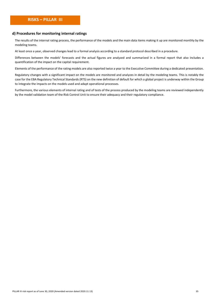## **d) Procedures for monitoring internal ratings**

The results of the internal rating process, the performance of the models and the main data items making it up are monitored monthly by the modeling teams.

At least once a year, observed changes lead to a formal analysis according to a standard protocol described in a procedure.

Differences between the models' forecasts and the actual figures are analyzed and summarized in a formal report that also includes a quantification of the impact on the capital requirement.

Elements of the performance of the rating models are also reported twice a year to the Executive Committee during a dedicated presentation.

Regulatory changes with a significant impact on the models are monitored and analyzes in detail by the modeling teams. This is notably the case for the EBA Regulatory Technical Standards (RTS) on the new definition of default for which a global project is underway within the Group to integrate the impacts on the models used and adapt operational processes.

Furthermore, the various elements of internal rating and of tests of the process produced by the modeling teams are reviewed independently by the model validation team of the Risk Control Unit to ensure their adequacy and their regulatory compliance.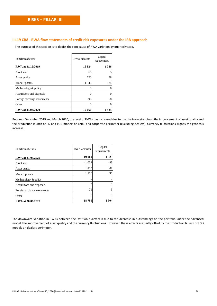## **III-19 CR8 - RWA flow statements of credit risk exposures under the IRB approach**

The purpose of this section is to depict the root cause of RWA variation by quarterly step.

| In million of euros        | <b>RWA</b> amounts | Capital<br>requirements |
|----------------------------|--------------------|-------------------------|
| RWA at 31/12/2019          | 16824              | 1 3 4 6                 |
| Asset size                 | 66                 | 5                       |
| Asset quality              | 720                | 58                      |
| Model updates              | 1546               | 124                     |
| Methodology & policy       | 0                  | $\Omega$                |
| Acquisitions and disposals |                    | $\Omega$                |
| Foreign exchange movements | $-96$              | -8                      |
| Other                      |                    | $\Omega$                |
| RWA at 31/03/2020          | 19 060             | 1 525                   |

Between December 2019 and March 2020, the level of RWAs has increased due to the rise in outstandings, the improvement of asset quality and the production launch of PD and LGD models on retail and corporate perimeter (excluding dealers). Currency fluctuations slightly mitigate this increase.

| In million of euros        | <b>RWA</b> amounts | Capital<br>requirements |
|----------------------------|--------------------|-------------------------|
| RWA at 31/03/2020          | 19 060             | 1525                    |
| Asset size                 | $-1034$            | $-83$                   |
| Asset quality              | $-347$             | $-28$                   |
| Model updates              | 1 1 9 0            | 95                      |
| Methodology & policy       |                    | 0                       |
| Acquisitions and disposals | 0                  | $\Omega$                |
| Foreign exchange movements | $-71$              | -6                      |
| Other                      |                    | $\Omega$                |
| RWA at 30/06/2020          | 18799              | 1504                    |

The downward variation in RWAs between the last two quarters is due to the decrease in outstandings on the portfolio under the advanced model, the improvement of asset quality and the currency fluctuations. However, these effects are partly offset by the production launch of LGD models on dealers perimeter.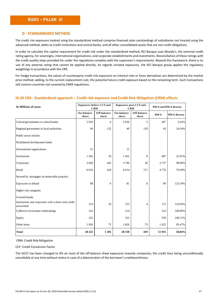#### **D - STANDARDIZED METHOD**

The credit risk exposures treated using the standardized method comprise financed sales outstandings of subsidiaries not treated using the advanced method, debts to credit institutions and central banks, and all other consolidated assets that are not credit obligations.

In order to calculate the capital requirement for credit risk under the standardized method, RCI Banque uses Moody's, the external credit rating agency, for sovereigns, international organizations, and corporate establishments and investments. Reconciliation of these ratings with the credit quality steps provided for under the regulations complies with the supervisor's requirements. Beyond this framework, there is no use of any external rating that cannot be applied directly. As regards unrated exposures, the RCI Banque group applies the regulatory weightings in accordance with the CRR.

For hedge transactions, the values of counterparty credit risk exposures on interest-rate or forex derivatives are determined by the market price method, adding, to the current replacement cost, the potential future credit exposure based on the remaining term. Such transactions still concern countries not covered by EMIR regulations.

| In Millions of euros                                               | <b>Exposures before CCF and</b> | <b>CRM</b>           | <b>Exposures post-CCF and</b> | <b>CRM</b>           | <b>RWA</b> and <b>RWA</b> density |                    |  |
|--------------------------------------------------------------------|---------------------------------|----------------------|-------------------------------|----------------------|-----------------------------------|--------------------|--|
|                                                                    | On-balance<br>sheet             | Off-balance<br>sheet | On-balance<br>sheet           | Off-balance<br>sheet | <b>RWA</b>                        | <b>RWA</b> density |  |
| Central governments or central banks                               | 5 6 5 6                         | 6                    | 5 6 5 6                       | 3                    | 307                               | 5.42%              |  |
| Regional government or local authorities                           | 49                              | 132                  | 49                            | 128                  | 43                                | 24.54%             |  |
| Public sector entities                                             |                                 |                      |                               |                      |                                   |                    |  |
| Multilateral development banks                                     |                                 |                      |                               |                      |                                   |                    |  |
| International organisations                                        | 15                              |                      | 15                            |                      |                                   |                    |  |
| Institutions                                                       | 1562                            | 18                   | 1 5 6 2                       | 8                    | 407                               | 25.91%             |  |
| Corporates                                                         | 3820                            | 445                  | 3746                          | 30                   | 3737                              | 98.96%             |  |
| Retail                                                             | 6 6 1 6                         | 410                  | 6 6 1 4                       | 171                  | 4776                              | 70.39%             |  |
| Secured by mortgages on immovable property                         |                                 |                      |                               |                      |                                   |                    |  |
| Exposures in default                                               | 88                              | $\mathbf{0}$         | 81                            | $\overline{0}$       | 99                                | 123.10%            |  |
| Higher-risk categories                                             |                                 |                      |                               |                      |                                   |                    |  |
| Covered bonds                                                      |                                 |                      |                               |                      |                                   |                    |  |
| Institutions and corporates with a short-term credit<br>assessment | 153                             | 18                   | 153                           | 4                    | 172                               | 110.03%            |  |
| Collective investment undertakings                                 | 214                             |                      | 214                           |                      | 214                               | 100.00%            |  |
| Equity                                                             | 222                             |                      | 222                           |                      | 550                               | 248.11%            |  |
| Other items                                                        | 1826                            | 75                   | 1826                          | 75                   | 1625                              | 85.47%             |  |
| <b>Total</b>                                                       | 20 221                          | 1 1 0 5              | 20 138                        | 419                  | 11931                             | 58.04%             |  |

CRM: Credit Risk Mitigation

CCF: Credit Conversion Factor

The %CCF has been changed to 0% on most of the off-balance sheet exposures towards companies, the credit lines being unconditionally cancellable at any time without notice in case of a deterioration of the borrower's creditworthiness.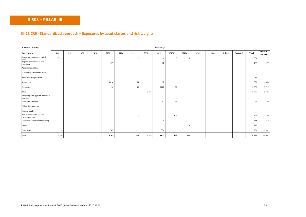## **III-21 CR5 - Standardized approach – Exposures by asset classes and risk weights**

| In Millions of euros                                                                   |          |    |    |     |      |     |     |      | Risk weight |             |      |      |       |        |          |                |                     |
|----------------------------------------------------------------------------------------|----------|----|----|-----|------|-----|-----|------|-------------|-------------|------|------|-------|--------|----------|----------------|---------------------|
| Asset classes                                                                          | $0\%$    | 2% | 4% | 10% | 20%  | 35% | 50% | 75%  | 100%        | 150%        | 250% | 370% | 1250% | Others | Deducted | <b>Total</b>   | of which<br>unrated |
| Central governments or central<br>banks<br>Regional government or local<br>authorities | 5 5 2 5  |    |    |     | 167  |     | 2   |      | 14<br>10    | $5^{\circ}$ | 114  |      |       |        |          | 5 6 5 9<br>177 | 177                 |
| Public sector entities                                                                 |          |    |    |     |      |     |     |      |             |             |      |      |       |        |          |                |                     |
| Multilateral development banks                                                         |          |    |    |     |      |     |     |      |             |             |      |      |       |        |          |                |                     |
| International organisations                                                            | 15       |    |    |     |      |     |     |      |             |             |      |      |       |        |          | 15             |                     |
| Institutions                                                                           |          |    |    |     | 1414 |     | 64  |      | 92          |             |      |      |       |        |          | 1570           | 1483                |
| Corporates                                                                             |          |    |    |     | 16   |     | 48  |      | 3 6 8 0     | 32          |      |      |       |        |          | 3776           | 3712                |
| Retail<br>Secured by mortgages on immovable                                            |          |    |    |     |      |     |     | 6785 |             |             |      |      |       |        |          | 6785           | 6785                |
| property<br>Exposures in default                                                       |          |    |    |     |      |     |     |      | 43          | 37          |      |      |       |        |          | 81             | 80                  |
| Higher-risk categories                                                                 |          |    |    |     |      |     |     |      |             |             |      |      |       |        |          |                |                     |
| Covered bonds                                                                          |          |    |    |     |      |     |     |      |             |             |      |      |       |        |          |                |                     |
| Inst. and corporates with a ST<br>credit assessment                                    |          |    |    |     | 47   |     |     |      |             | 108         |      |      |       |        |          | 157            | 108                 |
| Collective investment undertakings                                                     |          |    |    |     |      |     |     |      | 214         |             |      |      |       |        |          | 214            | 214                 |
| Equity                                                                                 |          |    |    |     |      |     |     |      | 3           |             | 219  |      |       |        |          | 222            | 222                 |
| Other items                                                                            | $\Omega$ |    |    |     | 345  |     |     |      | 1556        |             |      |      |       |        |          | 1901           | 1901                |
| <b>Total</b>                                                                           | 5 5 4 0  |    |    |     | 1989 |     | 115 | 6785 | 5 6 1 2     | 182         | 333  |      |       |        |          | 20 557         | 14 682              |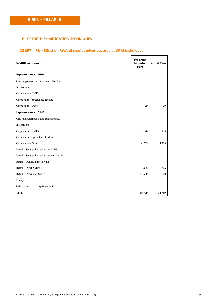## **E - CREDIT RISK MITIGATION TECHNIQUES**

## **III-22 CR7 - IRB – Effect on RWA of credit derivatives used as CRM techniques**

'n

| In Millions of euros                     | Pre-credit<br>derivatives<br><b>RWA</b> | <b>Actual RWA</b> |
|------------------------------------------|-----------------------------------------|-------------------|
| <b>Exposures under FIRB</b>              |                                         |                   |
| Central governments and central banks    |                                         |                   |
| Institutions                             |                                         |                   |
| Corporates - SM Es                       |                                         |                   |
| Corporates – Specialised lending         |                                         |                   |
| Corporates - Other                       | 29                                      | 29                |
| <b>Exposures under AIRB</b>              |                                         |                   |
| Central governments and central banks    |                                         |                   |
| Institutions                             |                                         |                   |
| Corporates - SM Es                       | 1 1 7 6                                 | 1 1 7 6           |
| Corporates - Specialised lending         |                                         |                   |
| Corporates - Other                       | 4769                                    | 4769              |
| Retail - Secured by real estate SMEs     |                                         |                   |
| Retail - Secured by real estate non-SMEs |                                         |                   |
| Retail - Qualifying revolving            |                                         |                   |
| Retail - Other SM Es                     | 1 3 0 5                                 | 1 3 0 5           |
| Retail - Other non-SMEs                  | 11 520                                  | 11520             |
| <b>Equity IRB</b>                        |                                         |                   |
| Other non credit obligation assets       |                                         |                   |
| <b>Total</b>                             | 18799                                   | 18799             |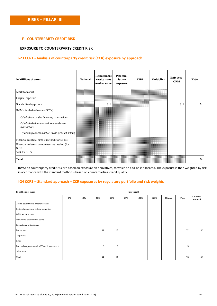## **F - COUNTERPARTY CREDIT RISK**

## **EXPOSURE TO COUNTERPARTY CREDIT RISK**

## **III-23 CCR1 - Analysis of counterparty credit risk (CCR) exposure by approach**

| In Millions of euros                                     | <b>Notional</b> | Replacement<br>cost/current<br>market value | Potential<br>future<br>exposure | <b>EEPE</b> | <b>Multiplier</b> | EAD post-<br><b>CRM</b> | <b>RWA</b> |
|----------------------------------------------------------|-----------------|---------------------------------------------|---------------------------------|-------------|-------------------|-------------------------|------------|
| Mark to market                                           |                 |                                             |                                 |             |                   |                         |            |
| Original exposure                                        |                 |                                             |                                 |             | <i>WWW.WWW</i>    |                         |            |
| Standardised approach                                    |                 | 314                                         |                                 |             |                   | 314                     | 74         |
| IMM (for derivatives and SFTs)                           |                 |                                             |                                 |             |                   |                         |            |
| Of which securities financing transactions               |                 |                                             |                                 |             |                   |                         |            |
| Of which derivatives and long settlement<br>transactions |                 |                                             |                                 |             |                   |                         |            |
| Of which from contractual cross-product netting          |                 |                                             |                                 |             |                   |                         |            |
| Financial collateral simple method (for SFTs)            |                 |                                             |                                 |             |                   |                         |            |
| Financial collateral comprehensive method (for           |                 |                                             |                                 |             |                   |                         |            |
| $SFTs$ )                                                 |                 |                                             |                                 |             |                   |                         |            |
| VaR for SFTs                                             |                 |                                             |                                 |             |                   |                         |            |
| Total                                                    |                 |                                             |                                 |             |                   |                         | 74         |

RWAs on counterparty credit risk are based on exposure on derivatives, to which an add-on is allocated. The exposure is then weighted by risk in accordance with the standard method – based on counterparties' credit quality.

## **III-24 CCR3 – Standard approach – CCR exposures by regulatory portfolio and risk weights**

| In Millions of euros                             | Risk weight |     |                |              |     |      |      |        |              |                     |  |  |
|--------------------------------------------------|-------------|-----|----------------|--------------|-----|------|------|--------|--------------|---------------------|--|--|
|                                                  | $0\%$       | 10% | 20%            | 50%          | 75% | 100% | 150% | Others | <b>Total</b> | Of which<br>unrated |  |  |
| Central governments or central banks             |             |     |                |              |     |      |      |        |              |                     |  |  |
| Regional government or local authorities         |             |     |                |              |     |      |      |        |              |                     |  |  |
| Public sector entities                           |             |     |                |              |     |      |      |        |              |                     |  |  |
| Multilateral development banks                   |             |     |                |              |     |      |      |        |              |                     |  |  |
| International organisations                      |             |     |                |              |     |      |      |        |              |                     |  |  |
| Institutions                                     |             |     | 53             | 19           |     |      |      |        | 72           | 52                  |  |  |
| Corporates                                       |             |     |                |              |     |      |      |        |              |                     |  |  |
| Retail                                           |             |     |                |              |     |      |      |        |              |                     |  |  |
| Inst. and corporates with a ST credit assessment |             |     | $\overline{2}$ | $\mathbf{0}$ |     |      |      |        | 3            |                     |  |  |
| Other items                                      |             |     |                |              |     |      |      |        |              |                     |  |  |
| <b>Total</b>                                     |             |     | 55             | 19           |     |      |      |        | 74           | 52                  |  |  |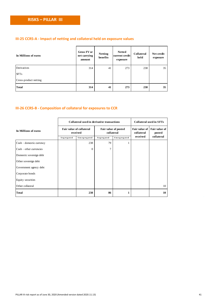## **III-25 CCR5-A - Impact of netting and collateral held on exposure values**

| In Millions of euros  | Gross FV or<br>net carrying<br>amount | <b>Netting</b><br>benefits | <b>Netted</b><br>current credit<br>exposure | Collateral<br>held | Net credit<br>exposure |
|-----------------------|---------------------------------------|----------------------------|---------------------------------------------|--------------------|------------------------|
| Derivatives           | 314                                   | 41                         | 273                                         | 238                | 35                     |
| <b>SFTs</b>           |                                       |                            |                                             |                    |                        |
| Cross-product netting |                                       |                            |                                             |                    |                        |
| <b>Total</b>          | 314                                   | 41                         | 273                                         | 238                | 35                     |

## **III-26 CCR5-B - Composition of collateral for exposures to CCR**

|                                                 |            | Collateral used in derivative transactions | <b>Collateral used in SFTs</b>     |              |                             |                         |
|-------------------------------------------------|------------|--------------------------------------------|------------------------------------|--------------|-----------------------------|-------------------------|
| In Millions of euros                            |            | Fair value of collateral<br>received       | Fair value of posted<br>collateral |              | Fair value of<br>collateral | Fair value of<br>posted |
|                                                 | Segregated | Unsegregated                               | Segregated                         | Unsegregated | received                    | collateral              |
| Cash - domestic currency                        |            | 238                                        | 79                                 |              |                             |                         |
| $\operatorname{Cash} - \text{other}$ currencies |            | $\Omega$                                   | $\overline{7}$                     |              |                             |                         |
| Domestic sovereign debt                         |            |                                            |                                    |              |                             |                         |
| Other sovereign debt                            |            |                                            |                                    |              |                             |                         |
| Government agency debt                          |            |                                            |                                    |              |                             |                         |
| Corporate bonds                                 |            |                                            |                                    |              |                             |                         |
| Equity securities                               |            |                                            |                                    |              |                             |                         |
| Other collateral                                |            |                                            |                                    |              |                             | 10                      |
| <b>Total</b>                                    |            | 238                                        | 86                                 | 1            |                             | 10                      |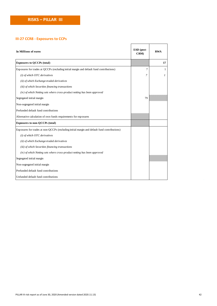## **III-27 CCR8 - Exposures to CCPs**

| In Millions of euros                                                                        | EAD (post-<br>CRM) | <b>RWA</b>     |
|---------------------------------------------------------------------------------------------|--------------------|----------------|
| <b>Exposures to QCCPs (total)</b>                                                           |                    | 17             |
| Exposures for trades at QCCPs (excluding initial margin and default fund contributions)     | 7                  | 1              |
| (i) of which OTC derivatives                                                                | 7                  | $\mathfrak{I}$ |
| (ii) of which Exchange-traded derivatives                                                   |                    |                |
| (iii) of which Securities financing transactions                                            |                    |                |
| (iv) of which Netting sets where cross-product netting has been approved                    |                    |                |
| Segregated initial margin                                                                   | 79                 |                |
| Non-segregated initial margin                                                               |                    |                |
| Prefunded default fund contributions                                                        |                    |                |
| Alternative calculation of own funds requirements for exposures                             |                    |                |
| <b>Exposures to non-QCCPs (total)</b>                                                       |                    |                |
| Exposures for trades at non-QCCPs (excluding initial margin and default fund contributions) |                    |                |
| (i) of which OTC derivatives                                                                |                    |                |
| (ii) of which Exchange-traded derivatives                                                   |                    |                |
| (iii) of which Securities financing transactions                                            |                    |                |
| (iv) of which Netting sets where cross-product netting has been approved                    |                    |                |
| Segregated initial margin                                                                   |                    |                |
| Non-segregated initial margin                                                               |                    |                |
| Prefunded default fund contributions                                                        |                    |                |
| Unfunded default fund contributions                                                         |                    |                |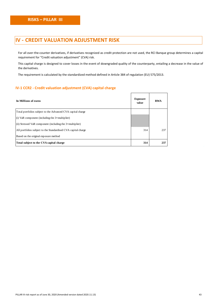## **IV - CREDIT VALUATION ADJUSTMENT RISK**

For all over-the-counter derivatives, if derivatives recognized as credit protection are not used, the RCI Banque group determines a capital requirement for "Credit valuation adjustment" (CVA) risk.

This capital charge is designed to cover losses in the event of downgraded quality of the counterparty, entailing a decrease in the value of the derivatives.

٦

The requirement is calculated by the standardized method defined in Article 384 of regulation (EU) 575/2013.

## **IV-1 CCR2 - Credit valuation adjustment (CVA) capital charge**

| In Millions of euros                                             | <b>Exposure</b><br>value | <b>RWA</b> |
|------------------------------------------------------------------|--------------------------|------------|
| Total portfolios subject to the Advanced CVA capital charge      |                          |            |
| (i) VaR component (including the $3\times$ multiplier)           |                          |            |
| (ii) Stressed VaR component (including the $3\times$ multiplier) |                          |            |
| All portfolios subject to the Standardised CVA capital charge    | 314                      | 237        |
| Based on the original exposure method                            |                          |            |
| Total subject to the CVA capital charge                          | 314                      | 237        |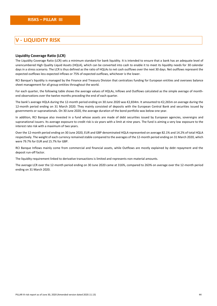## **V - LIQUIDITY RISK**

#### **Liquidity Coverage Ratio (LCR)**

The Liquidity Coverage Ratio (LCR) sets a minimum standard for bank liquidity. It is intended to ensure that a bank has an adequate level of unencumbered High Quality Liquid Assets (HQLA), which can be converted into cash to enable it to meet its liquidity needs for 30 calendar days in a stress scenario. The LCR is thus defined as the ratio of HQLAs to net cash outflows over the next 30 days. Net outflows represent the expected outflows less expected inflows or 75% of expected outflows, whichever is the lower.

RCI Banque's liquidity is managed by the Finance and Treasury Division that centralizes funding for European entities and oversees balance sheet management for all group entities throughout the world.

For each quarter, the following table shows the average values of HQLAs, Inflows and Outflows calculated as the simple average of monthend observations over the twelve months preceding the end of each quarter.

The bank's average HQLA during the 12-month period ending on 30 June 2020 was €2,834m. It amounted to €2,265m on average during the 12-month period ending on 31 March 2020. They mainly consisted of deposits with the European Central Bank and securities issued by governments or supranationals. On 30 June 2020, the average duration of the bond portfolio was below one year.

In addition, RCI Banque also invested in a fund whose assets are made of debt securities issued by European agencies, sovereigns and supranational issuers. Its average exposure to credit risk is six years with a limit at nine years. The fund is aiming a very low exposure to the interest rate risk with a maximum of two years.

Over the 12-month period ending on 30 June 2020, EUR and GBP denominated HQLA represented on average 82.1% and 14.2% of total HQLA respectively. The weight of each currency remained stable compared to the averages of the 12-month period ending on 31 March 2020, which were 79.7% for EUR and 15.7% for GBP.

RCI Banque Inflows mainly come from commercial and financial assets, while Outflows are mostly explained by debt repayment and the deposit run-off factor.

The liquidity requirement linked to derivative transactions is limited and represents non-material amounts.

The average LCR over the 12-month period ending on 30 June 2020 came at 316%, compared to 263% on average over the 12-month period ending on 31 March 2020.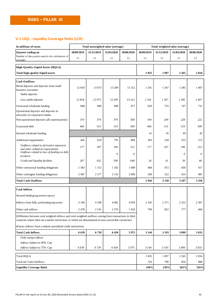## **V-1 LIQ1 - Liquidity Coverage Ratio (LCR)**

| In millions of euros                                                                                                                                                                                                 | Total unweighted value (average) |            |            | Total weighted value (average) |            |            |            |            |
|----------------------------------------------------------------------------------------------------------------------------------------------------------------------------------------------------------------------|----------------------------------|------------|------------|--------------------------------|------------|------------|------------|------------|
| Quarter ending on                                                                                                                                                                                                    | 30/09/2019                       | 31/12/2019 | 31/03/2020 | 30/06/2020                     | 30/09/2019 | 31/12/2019 | 31/03/2020 | 30/06/2020 |
| Number of data points used in the calculation of<br>averages                                                                                                                                                         | 12                               | 12         | 12         | 12                             | 12         | 12         | 12         | 12         |
| High-Quality Liquid Assets (HQLA)                                                                                                                                                                                    |                                  |            |            |                                |            |            |            |            |
| <b>Total high-quality liquid assets</b>                                                                                                                                                                              |                                  |            |            |                                | 1835       | 1897       | 2 2 6 5    | 2834       |
| <b>Cash Outflows</b>                                                                                                                                                                                                 |                                  |            |            |                                |            |            |            |            |
| Retail deposits and deposits from small<br>business customers<br>Stable deposits                                                                                                                                     | 12818                            | 13 073     | 13 209     | 13 3 12                        | 1 3 4 1    | 1 3 6 7    | 1 3 8 5    | 1 4 0 7    |
| Less stable deposits                                                                                                                                                                                                 | 12818                            | 13 073     | 13 209     | 13 312                         | 1341       | 1367       | 1385       | 1 407      |
| Unsecured wholesale funding                                                                                                                                                                                          | 840                              | 889        | 898        | 877                            | 659        | 725        | 747        | 731        |
| Operational deposits and deposits in<br>networks of cooperative banks                                                                                                                                                |                                  |            |            |                                |            |            |            |            |
| Non-operational deposits (all counterparties)                                                                                                                                                                        | 374                              | 374        | 379        | 369                            | 194        | 209        | 228        | 222        |
| Unsecured debt                                                                                                                                                                                                       | 466                              | 515        | 519        | 509                            | 466        | 515        | 519        | 509        |
| Secured wholesale funding                                                                                                                                                                                            |                                  |            |            |                                | 41         | 45         | 49         | 42         |
| Additional requirements                                                                                                                                                                                              | 445                              | 619        | 795        | 860                            | 203        | 228        | 252        | 272        |
| Outflows related to derivative exposures                                                                                                                                                                             | 177                              | 187        | 196        | 212                            | 177        | 187        | 196        | 212        |
| and other collateral requirements<br>Outflows related to loss of funding on debt<br>products                                                                                                                         |                                  |            | 0          | $\theta$                       |            |            | 0          | $\theta$   |
| Credit and liquidity facilities                                                                                                                                                                                      | 267                              | 432        | 599        | 648                            | 26         | 41         | 56         | 60         |
| Other contractual funding obligations                                                                                                                                                                                | 1 3 8 3                          | 1 3 1 2    | 1 1 8 2    | 1 0 8 9                        | 460        | 472        | 450        | 417        |
| Other contingent funding obligations                                                                                                                                                                                 | 2 4 0 7                          | 2 2 7 7    | 2 1 3 5    | 2090                           | 240        | 322        | 414        | 481        |
| <b>Total Cash Outflows</b>                                                                                                                                                                                           |                                  |            |            |                                | 2944       | 3 1 5 8    | 3 297      | 3350       |
| <b>Cash Inflows</b>                                                                                                                                                                                                  |                                  |            |            |                                |            |            |            |            |
| Secured lending (eg reverse repos)                                                                                                                                                                                   |                                  |            |            |                                |            |            |            |            |
| Inflows from fully performing exposures                                                                                                                                                                              | 4 1 6 0                          | 4 1 9 8    | 4 0 8 2    | 4 0 5 9                        | 2 3 4 5    | 2 3 7 1    | 2 3 2 2    | 2 3 6 7    |
| Other cash inflows                                                                                                                                                                                                   | 2 4 7 8                          | 2 5 4 1    | 2 3 7 6    | 1916                           | 799        | 822        | 777        | 666        |
| (Difference between total weighted inflows and total weighted outflows arising from transactions in third<br>countries where there are transfer restrictions or which are denominated in non-convertible currencies) |                                  |            |            |                                |            |            |            |            |
| (Excess inflows from a related specialised credit institution)                                                                                                                                                       |                                  |            |            |                                |            |            |            |            |
| <b>Total Cash Inflows</b>                                                                                                                                                                                            | 6639                             | 6739       | 6458       | 5975                           | 3 1 4 4    | 3 1 9 3    | 3 0 9 9    | 3 0 3 3    |
| Fully exempt inflows                                                                                                                                                                                                 |                                  |            |            |                                |            |            |            |            |
| Inflows Subject to 90% Cap                                                                                                                                                                                           |                                  |            |            |                                |            |            |            |            |
| Inflows Subject to 75% Cap                                                                                                                                                                                           | 6639                             | 6739       | 6458       | 5975                           | 3 144      | 3 1 9 3    | 3099       | 3 0 3 3    |
| <b>Total HQLA</b>                                                                                                                                                                                                    |                                  |            |            |                                | 1835       | 1897       | 2 2 6 5    | 2834       |
| <b>Total net Cash Outflows</b>                                                                                                                                                                                       |                                  |            |            | 743                            | 796        | 856        | 888        |            |
| <b>Liquidity Coverage Ratio</b>                                                                                                                                                                                      |                                  |            |            |                                | 249%       | 239%       | 263%       | 316%       |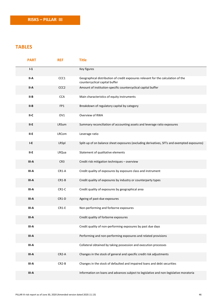## **TABLES**

| <b>PART</b>                                   | <b>REF</b>       | <b>Title</b>                                                                                                        |
|-----------------------------------------------|------------------|---------------------------------------------------------------------------------------------------------------------|
| $I-1$                                         |                  | Key figures                                                                                                         |
| II-A                                          | CCC1             | Geographical distribution of credit exposures relevant for the calculation of the<br>countercyclical capital buffer |
| II-A                                          | CCC <sub>2</sub> | Amount of institution-specific countercyclical capital buffer                                                       |
| II-B                                          | <b>CCA</b>       | Main characteristics of equity instruments                                                                          |
| II-B                                          | FP1              | Breakdown of regulatory capital by category                                                                         |
| II-C                                          | OV <sub>1</sub>  | Overview of RWA                                                                                                     |
| II-E                                          | LRSum            | Summary reconciliation of accounting assets and leverage ratio exposures                                            |
| II-E                                          | LRCom            | Leverage ratio                                                                                                      |
| $I-E$                                         | LRSpl            | Split-up of on balance sheet exposures (excluding derivatives, SFTs and exempted exposures)                         |
| II-E                                          | LRQua            | Statement of qualitative elements                                                                                   |
| III-A                                         | CR <sub>3</sub>  | Credit risk mitigation techniques - overview                                                                        |
| III-A                                         | CR1-A            | Credit quality of exposures by exposure class and instrument                                                        |
| III-A                                         | $CR1-B$          | Credit quality of exposures by industry or counterparty types                                                       |
| III-A                                         | CR1-C            | Credit quality of exposures by geographical area                                                                    |
| III-A                                         | CR1-D            | Ageing of past-due exposures                                                                                        |
| III-A                                         | CR1-E            | Non-performing and forborne exposures                                                                               |
| III-A                                         |                  | Credit quality of forborne exposures                                                                                |
| III-A                                         |                  | Credit quality of non-performing exposures by past due days                                                         |
| $\ensuremath{\mathsf{III}\text{-}\mathsf{A}}$ |                  | Performing and non-performing exposures and related provisions                                                      |
| III-A                                         |                  | Collateral obtained by taking possession and execution processes                                                    |
| III-A                                         | $CR2-A$          | Changes in the stock of general and specific credit risk adjustments                                                |
| III-A                                         | $CR2-B$          | Changes in the stock of defaulted and impaired loans and debt securities                                            |
| $\ensuremath{\mathsf{III}\text{-}\mathsf{A}}$ |                  | Information on loans and advances subject to legislative and non-legislative moratoria                              |